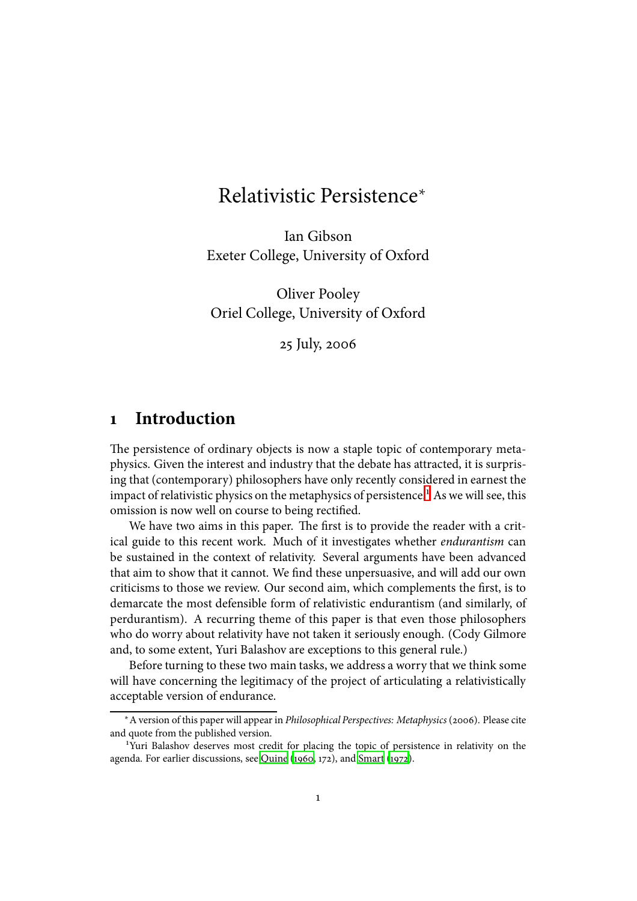# Relativistic Persistence

Ian Gibson Exeter College, University of Oxford

Oliver Pooley Oriel College, University of Oxford

25 July, 2006

### <span id="page-0-1"></span>**1 Introduction**

The persistence of ordinary objects is now a staple topic of contemporary metaphysics. Given the interest and industry that the debate has attracted, it is surprising that (contemporary) philosophers have only recently considered in earnest the impact of relativistic physics on the metaphysics of persistence.<sup>1</sup> As we will see, this omission is now well on course to being rectified.

We have two aims in this paper. The first is to provide the reader with a critical guide to this recent work. Much of it investigates whether endurantism can be sustained in the context of relativity. Several arguments have been advanced that aim to show that it cannot. We find these unpersuasive, and will add our own criticisms to those we review. Our second aim, which complements the first, is to demarcate the most defensible form of relativistic endurantism (and similarly, of perdurantism). A recurring theme of this paper is that even those philosophers who do worry about relativity have not taken it seriously enough. (Cody Gilmore and, to some extent, Yuri Balashov are exceptions to this general rule.)

Before turning to these two main tasks, we address a worry that we think some will have concerning the legitimacy of the project of articulating a relativistically acceptable version of endurance.

A version of this paper will appear in Philosophical Perspectives: Metaphysics (2006). Please cite and quote from the published version.

<span id="page-0-0"></span><sup>&</sup>lt;sup>1</sup>Yuri Balashov deserves most credit for placing the topic of persistence in relativity on the agenda. For earlier discussions, see [Quine](#page-43-0) [\(1960,](#page-43-0) 172), and [Smart](#page-43-1) [\(1972](#page-43-1)).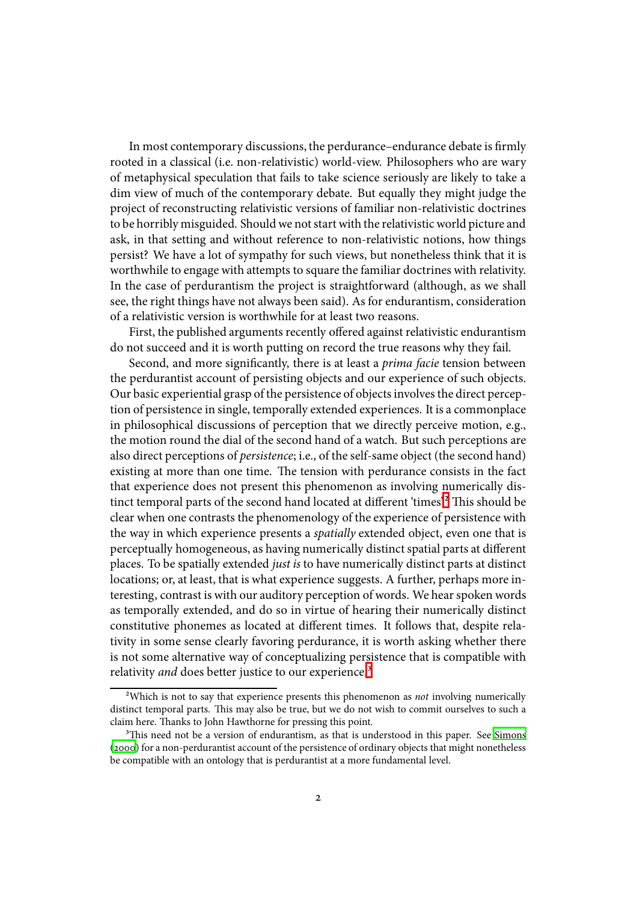In most contemporary discussions, the perdurance–endurance debate is firmly rooted in a classical (i.e. non-relativistic) world-view. Philosophers who are wary of metaphysical speculation that fails to take science seriously are likely to take a dim view of much of the contemporary debate. But equally they might judge the project of reconstructing relativistic versions of familiar non-relativistic doctrines to be horribly misguided. Should we not start with the relativistic world picture and ask, in that setting and without reference to non-relativistic notions, how things persist? We have a lot of sympathy for such views, but nonetheless think that it is worthwhile to engage with attempts to square the familiar doctrines with relativity. In the case of perdurantism the project is straightforward (although, as we shall see, the right things have not always been said). As for endurantism, consideration of a relativistic version is worthwhile for at least two reasons.

First, the published arguments recently offered against relativistic endurantism do not succeed and it is worth putting on record the true reasons why they fail.

Second, and more significantly, there is at least a *prima facie* tension between the perdurantist account of persisting objects and our experience of such objects. Our basic experiential grasp of the persistence of objects involves the direct perception of persistence in single, temporally extended experiences. It is a commonplace in philosophical discussions of perception that we directly perceive motion, e.g., the motion round the dial of the second hand of a watch. But such perceptions are also direct perceptions of persistence; i.e., of the self-same object (the second hand) existing at more than one time. The tension with perdurance consists in the fact that experience does not present this phenomenon as involving numerically dis-tinct temporal parts of the second hand located at different 'times'.<sup>[2](#page-1-0)</sup> This should be clear when one contrasts the phenomenology of the experience of persistence with the way in which experience presents a spatially extended object, even one that is perceptually homogeneous, as having numerically distinct spatial parts at different places. To be spatially extended just is to have numerically distinct parts at distinct locations; or, at least, that is what experience suggests. A further, perhaps more interesting, contrast is with our auditory perception of words. We hear spoken words as temporally extended, and do so in virtue of hearing their numerically distinct constitutive phonemes as located at different times. It follows that, despite relativity in some sense clearly favoring perdurance, it is worth asking whether there is not some alternative way of conceptualizing persistence that is compatible with relativity *and* does better justice to our experience.<sup>[3](#page-1-1)</sup>

<span id="page-1-0"></span><sup>&</sup>lt;sup>2</sup>Which is not to say that experience presents this phenomenon as not involving numerically distinct temporal parts. This may also be true, but we do not wish to commit ourselves to such a claim here. Thanks to John Hawthorne for pressing this point.

<span id="page-1-1"></span><sup>&</sup>lt;sup>3</sup>This need not be a version of endurantism, as that is understood in this paper. See [Simons](#page-43-2) [\(2000\)](#page-43-2) for a non-perdurantist account of the persistence of ordinary objects that might nonetheless be compatible with an ontology that is perdurantist at a more fundamental level.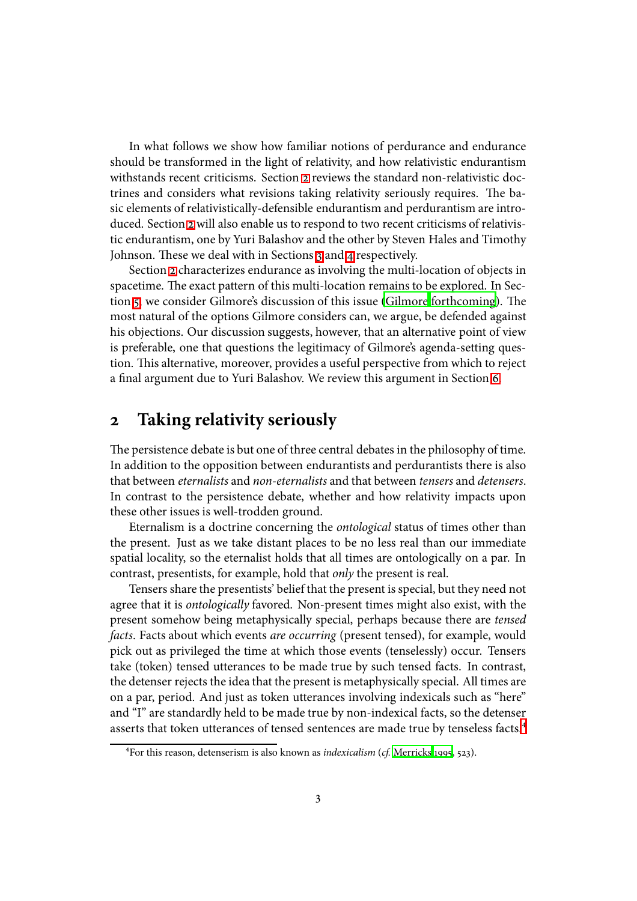In what follows we show how familiar notions of perdurance and endurance should be transformed in the light of relativity, and how relativistic endurantism withstands recent criticisms. Section [2](#page-2-0) reviews the standard non-relativistic doctrines and considers what revisions taking relativity seriously requires. The basic elements of relativistically-defensible endurantism and perdurantism are introduced. Section [2](#page-2-0) will also enable us to respond to two recent criticisms of relativistic endurantism, one by Yuri Balashov and the other by Steven Hales and Timothy Johnson. These we deal with in Sections [3](#page-13-0) and [4](#page-24-0) respectively.

Section [2](#page-2-0) characterizes endurance as involving the multi-location of objects in spacetime. The exact pattern of this multi-location remains to be explored. In Sec-tion [5,](#page-27-0) we consider Gilmore's discussion of this issue [\(Gilmore forthcoming\)](#page-42-0). The most natural of the options Gilmore considers can, we argue, be defended against his objections. Our discussion suggests, however, that an alternative point of view is preferable, one that questions the legitimacy of Gilmore's agenda-setting question. This alternative, moreover, provides a useful perspective from which to reject a final argument due to Yuri Balashov. We review this argument in Section [6.](#page-37-0)

## <span id="page-2-0"></span>**2 Taking relativity seriously**

The persistence debate is but one of three central debates in the philosophy of time. In addition to the opposition between endurantists and perdurantists there is also that between eternalists and non-eternalists and that between tensers and detensers. In contrast to the persistence debate, whether and how relativity impacts upon these other issues is well-trodden ground.

Eternalism is a doctrine concerning the ontological status of times other than the present. Just as we take distant places to be no less real than our immediate spatial locality, so the eternalist holds that all times are ontologically on a par. In contrast, presentists, for example, hold that only the present is real.

Tensers share the presentists' belief that the present is special, but they need not agree that it is ontologically favored. Non-present times might also exist, with the present somehow being metaphysically special, perhaps because there are tensed facts. Facts about which events are occurring (present tensed), for example, would pick out as privileged the time at which those events (tenselessly) occur. Tensers take (token) tensed utterances to be made true by such tensed facts. In contrast, the detenser rejects the idea that the present is metaphysically special. All times are on a par, period. And just as token utterances involving indexicals such as "here" and "I" are standardly held to be made true by non-indexical facts, so the detenser asserts that token utterances of tensed sentences are made true by tenseless facts.<sup>[4](#page-2-1)</sup>

<span id="page-2-1"></span><sup>&</sup>lt;sup>4</sup>For this reason, detenserism is also known as *indexicalism* (cf. [Merricks 1995](#page-42-1), 523).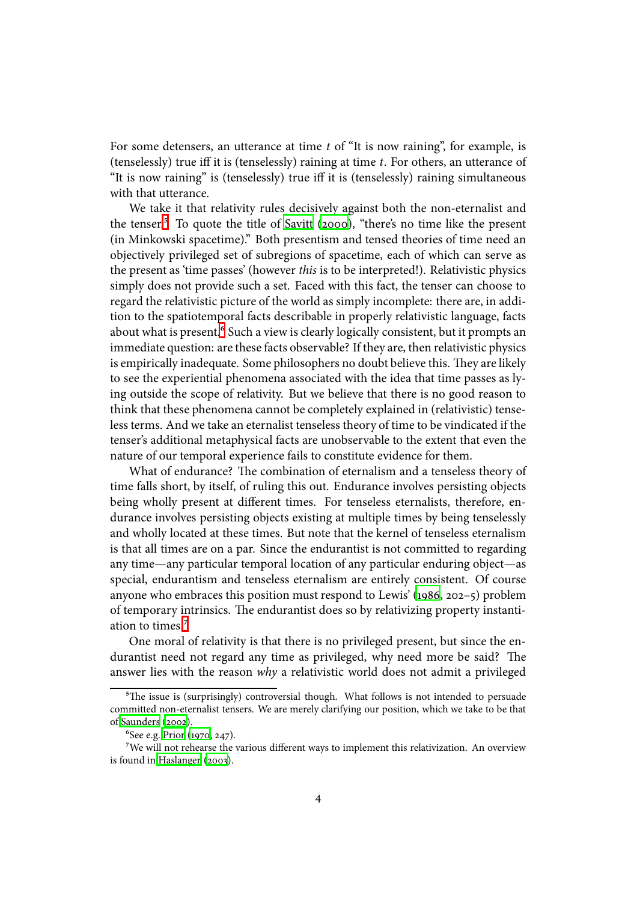For some detensers, an utterance at time t of "It is now raining", for example, is (tenselessly) true iff it is (tenselessly) raining at time  $t$ . For others, an utterance of "It is now raining" is (tenselessly) true iff it is (tenselessly) raining simultaneous with that utterance.

We take it that relativity rules decisively against both the non-eternalist and the tenser.[5](#page-3-0) To quote the title of [Savitt](#page-43-3) [\(2000\)](#page-43-3), "there's no time like the present (in Minkowski spacetime)." Both presentism and tensed theories of time need an objectively privileged set of subregions of spacetime, each of which can serve as the present as 'time passes' (however this is to be interpreted!). Relativistic physics simply does not provide such a set. Faced with this fact, the tenser can choose to regard the relativistic picture of the world as simply incomplete: there are, in addition to the spatiotemporal facts describable in properly relativistic language, facts about what is present.<sup>[6](#page-3-1)</sup> Such a view is clearly logically consistent, but it prompts an immediate question: are these facts observable? If they are, then relativistic physics is empirically inadequate. Some philosophers no doubt believe this. They are likely to see the experiential phenomena associated with the idea that time passes as lying outside the scope of relativity. But we believe that there is no good reason to think that these phenomena cannot be completely explained in (relativistic) tenseless terms. And we take an eternalist tenseless theory of time to be vindicated if the tenser's additional metaphysical facts are unobservable to the extent that even the nature of our temporal experience fails to constitute evidence for them.

What of endurance? The combination of eternalism and a tenseless theory of time falls short, by itself, of ruling this out. Endurance involves persisting objects being wholly present at different times. For tenseless eternalists, therefore, endurance involves persisting objects existing at multiple times by being tenselessly and wholly located at these times. But note that the kernel of tenseless eternalism is that all times are on a par. Since the endurantist is not committed to regarding any time—any particular temporal location of any particular enduring object—as special, endurantism and tenseless eternalism are entirely consistent. Of course anyone who embraces this position must respond to Lewis' [\(1986](#page-42-2), 202–5) problem of temporary intrinsics. The endurantist does so by relativizing property instantiation to times.[7](#page-3-2)

One moral of relativity is that there is no privileged present, but since the endurantist need not regard any time as privileged, why need more be said? The answer lies with the reason why a relativistic world does not admit a privileged

<span id="page-3-0"></span><sup>&</sup>lt;sup>5</sup>The issue is (surprisingly) controversial though. What follows is not intended to persuade committed non-eternalist tensers. We are merely clarifying our position, which we take to be that of [Saunders](#page-43-4) [\(2002](#page-43-4)).

<sup>6</sup>See e.g. [Prior](#page-43-5) [\(1970](#page-43-5), 247).

<span id="page-3-2"></span><span id="page-3-1"></span> $7$ We will not rehearse the various different ways to implement this relativization. An overview is found in [Haslanger](#page-42-3) [\(2003\)](#page-42-3).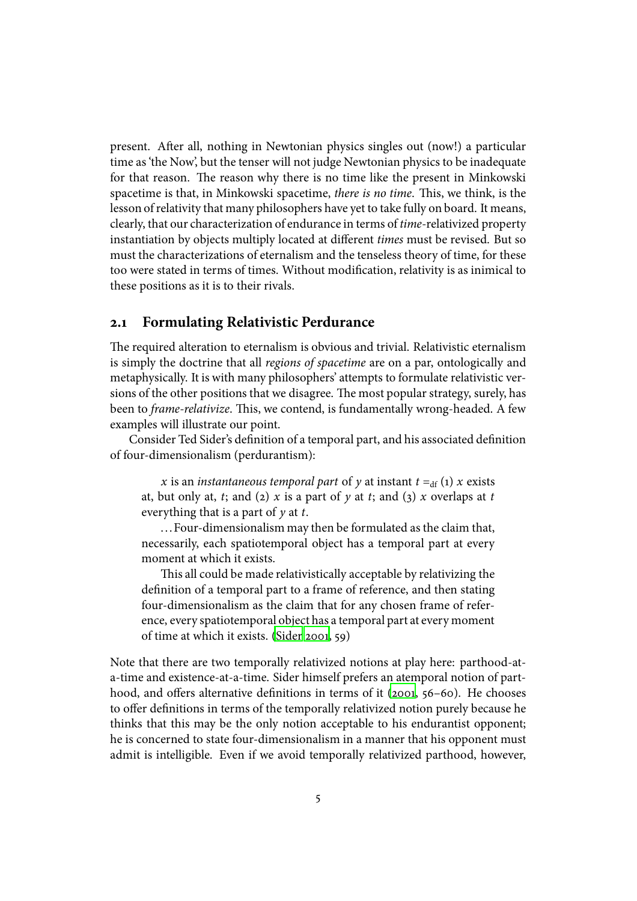present. After all, nothing in Newtonian physics singles out (now!) a particular time as 'the Now', but the tenser will not judge Newtonian physics to be inadequate for that reason. The reason why there is no time like the present in Minkowski spacetime is that, in Minkowski spacetime, there is no time. This, we think, is the lesson of relativity that many philosophers have yet to take fully on board. It means, clearly, that our characterization of endurance in terms of time-relativized property instantiation by objects multiply located at different times must be revised. But so must the characterizations of eternalism and the tenseless theory of time, for these too were stated in terms of times. Without modification, relativity is as inimical to these positions as it is to their rivals.

#### <span id="page-4-0"></span>**2.1 Formulating Relativistic Perdurance**

The required alteration to eternalism is obvious and trivial. Relativistic eternalism is simply the doctrine that all *regions of spacetime* are on a par, ontologically and metaphysically. It is with many philosophers' attempts to formulate relativistic versions of the other positions that we disagree. The most popular strategy, surely, has been to *frame-relativize*. This, we contend, is fundamentally wrong-headed. A few examples will illustrate our point.

Consider Ted Sider's definition of a temporal part, and his associated definition of four-dimensionalism (perdurantism):

x is an *instantaneous temporal part* of y at instant  $t =_{df} (1)$  x exists at, but only at, t; and (2) x is a part of y at t; and (3) x overlaps at t everything that is a part of  $y$  at  $t$ .

... Four-dimensionalism may then be formulated as the claim that, necessarily, each spatiotemporal object has a temporal part at every moment at which it exists.

This all could be made relativistically acceptable by relativizing the definition of a temporal part to a frame of reference, and then stating four-dimensionalism as the claim that for any chosen frame of reference, every spatiotemporal object has a temporal part at every moment of time at which it exists. [\(Sider 2001](#page-43-6), 59)

Note that there are two temporally relativized notions at play here: parthood-ata-time and existence-at-a-time. Sider himself prefers an atemporal notion of part-hood, and offers alternative definitions in terms of it [\(2001,](#page-43-6) 56-60). He chooses to offer definitions in terms of the temporally relativized notion purely because he thinks that this may be the only notion acceptable to his endurantist opponent; he is concerned to state four-dimensionalism in a manner that his opponent must admit is intelligible. Even if we avoid temporally relativized parthood, however,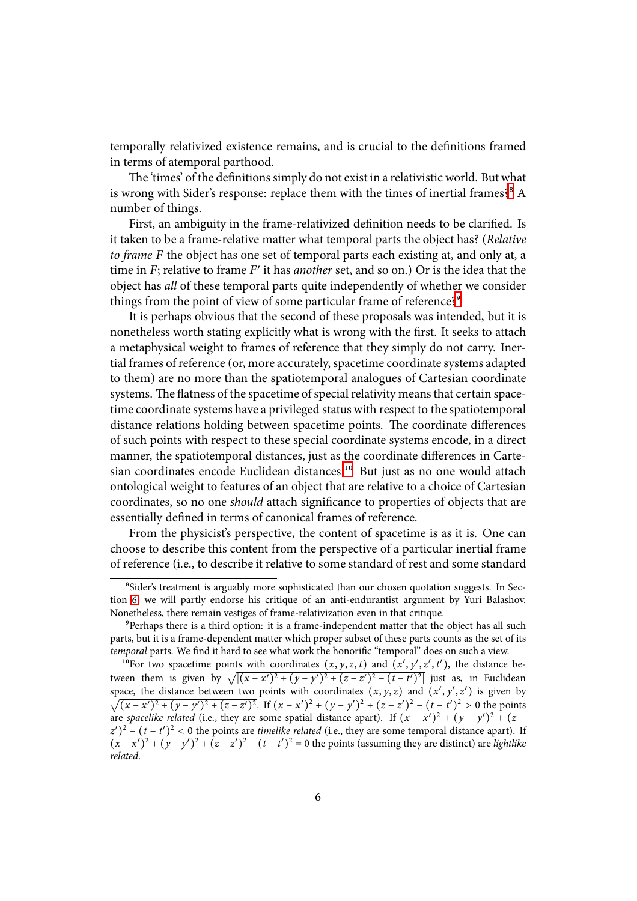temporally relativized existence remains, and is crucial to the definitions framed in terms of atemporal parthood.

The 'times' of the definitions simply do not exist in a relativistic world. But what is wrong with Sider's response: replace them with the times of inertial frames?<sup>[8](#page-5-0)</sup> A number of things.

First, an ambiguity in the frame-relativized definition needs to be clarified. Is it taken to be a frame-relative matter what temporal parts the object has? (Relative to frame F the object has one set of temporal parts each existing at, and only at, a time in  $F$ ; relative to frame  $F'$  it has another set, and so on.) Or is the idea that the object has all of these temporal parts quite independently of whether we consider things from the point of view of some particular frame of reference?<sup>[9](#page-5-1)</sup>

It is perhaps obvious that the second of these proposals was intended, but it is nonetheless worth stating explicitly what is wrong with the first. It seeks to attach a metaphysical weight to frames of reference that they simply do not carry. Inertial frames of reference (or, more accurately, spacetime coordinate systems adapted to them) are no more than the spatiotemporal analogues of Cartesian coordinate systems. The flatness of the spacetime of special relativity means that certain spacetime coordinate systems have a privileged status with respect to the spatiotemporal distance relations holding between spacetime points. The coordinate differences of such points with respect to these special coordinate systems encode, in a direct manner, the spatiotemporal distances, just as the coordinate differences in Carte-sian coordinates encode Euclidean distances.<sup>[10](#page-5-2)</sup> But just as no one would attach ontological weight to features of an object that are relative to a choice of Cartesian coordinates, so no one *should* attach significance to properties of objects that are essentially defined in terms of canonical frames of reference.

From the physicist's perspective, the content of spacetime is as it is. One can choose to describe this content from the perspective of a particular inertial frame of reference (i.e., to describe it relative to some standard of rest and some standard

<span id="page-5-0"></span><sup>&</sup>lt;sup>8</sup>Sider's treatment is arguably more sophisticated than our chosen quotation suggests. In Section [6,](#page-37-0) we will partly endorse his critique of an anti-endurantist argument by Yuri Balashov. Nonetheless, there remain vestiges of frame-relativization even in that critique.

<span id="page-5-1"></span><sup>&</sup>lt;sup>9</sup>Perhaps there is a third option: it is a frame-independent matter that the object has all such parts, but it is a frame-dependent matter which proper subset of these parts counts as the set of its temporal parts. We find it hard to see what work the honorific "temporal" does on such a view.

<span id="page-5-2"></span><sup>&</sup>lt;sup>10</sup>For two spacetime points with coordinates  $(x, y, z, t)$  and  $(x', y', z', t')$ , the distance between them is given by  $\sqrt{(x-x')^2 + (y-y')^2 + (z-z')^2 - (t-t')^2}$  just as, in Euclidean space, the distance between two points with coordinates  $(x, y, z)$  and  $(x', y', z')$  is given by  $\sqrt{(x-x')^2 + (y-y')^2 + (z-z')^2}$ . If  $(x-x')^2 + (y-y')^2 + (z-z')^2 - (t-t')^2 > 0$  the points are spacelike related (i.e., they are some spatial distance apart). If  $(x - x')^2 + (y - y')^2 + (z - y')^2$  $(z')^2 - (t - t')^2 < 0$  the points are *timelike related* (i.e., they are some temporal distance apart). If  $(x-x')^2 + (y-y')^2 + (z-z')^2 - (t-t')^2 = 0$  the points (assuming they are distinct) are *lightlike* related.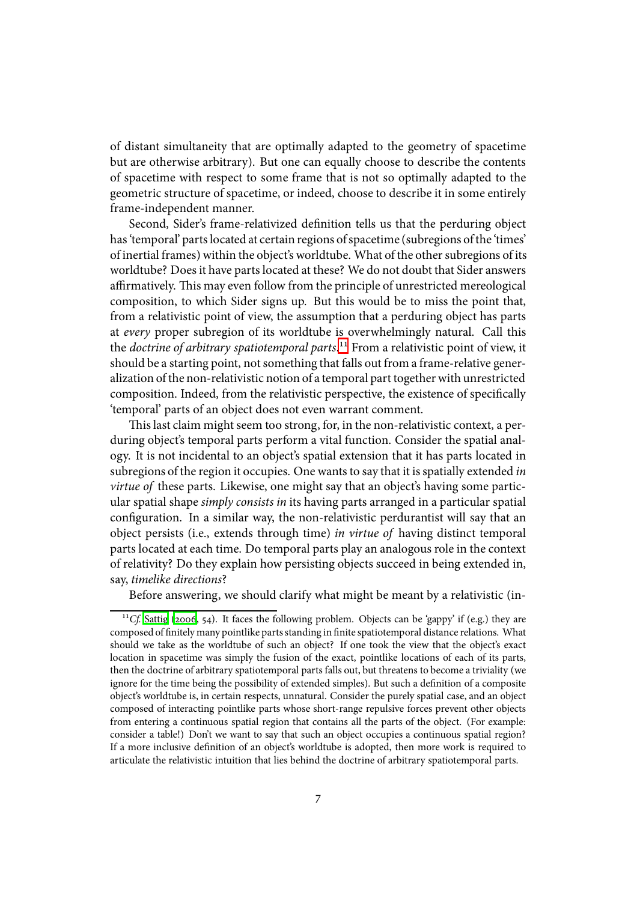of distant simultaneity that are optimally adapted to the geometry of spacetime but are otherwise arbitrary). But one can equally choose to describe the contents of spacetime with respect to some frame that is not so optimally adapted to the geometric structure of spacetime, or indeed, choose to describe it in some entirely frame-independent manner.

Second, Sider's frame-relativized definition tells us that the perduring object has 'temporal' parts located at certain regions of spacetime (subregions of the 'times' of inertial frames) within the object's worldtube. What of the other subregions of its worldtube? Does it have parts located at these? We do not doubt that Sider answers affirmatively. This may even follow from the principle of unrestricted mereological composition, to which Sider signs up. But this would be to miss the point that, from a relativistic point of view, the assumption that a perduring object has parts at every proper subregion of its worldtube is overwhelmingly natural. Call this the doctrine of arbitrary spatiotemporal parts.<sup>[11](#page-6-0)</sup> From a relativistic point of view, it should be a starting point, not something that falls out from a frame-relative generalization of the non-relativistic notion of a temporal part together with unrestricted composition. Indeed, from the relativistic perspective, the existence of specifically 'temporal' parts of an object does not even warrant comment.

This last claim might seem too strong, for, in the non-relativistic context, a perduring object's temporal parts perform a vital function. Consider the spatial analogy. It is not incidental to an object's spatial extension that it has parts located in subregions of the region it occupies. One wants to say that it is spatially extended in virtue of these parts. Likewise, one might say that an object's having some particular spatial shape simply consists in its having parts arranged in a particular spatial configuration. In a similar way, the non-relativistic perdurantist will say that an object persists (i.e., extends through time) in virtue of having distinct temporal parts located at each time. Do temporal parts play an analogous role in the context of relativity? Do they explain how persisting objects succeed in being extended in, say, timelike directions?

Before answering, we should clarify what might be meant by a relativistic (in-

<span id="page-6-0"></span><sup>&</sup>lt;sup>11</sup>Cf. [Sattig](#page-43-7) [\(2006](#page-43-7), 54). It faces the following problem. Objects can be 'gappy' if (e.g.) they are composed of nitely many pointlike parts standing in nite spatiotemporal distance relations. What should we take as the worldtube of such an object? If one took the view that the object's exact location in spacetime was simply the fusion of the exact, pointlike locations of each of its parts, then the doctrine of arbitrary spatiotemporal parts falls out, but threatens to become a triviality (we ignore for the time being the possibility of extended simples). But such a definition of a composite object's worldtube is, in certain respects, unnatural. Consider the purely spatial case, and an object composed of interacting pointlike parts whose short-range repulsive forces prevent other objects from entering a continuous spatial region that contains all the parts of the object. (For example: consider a table!) Don't we want to say that such an object occupies a continuous spatial region? If a more inclusive definition of an object's worldtube is adopted, then more work is required to articulate the relativistic intuition that lies behind the doctrine of arbitrary spatiotemporal parts.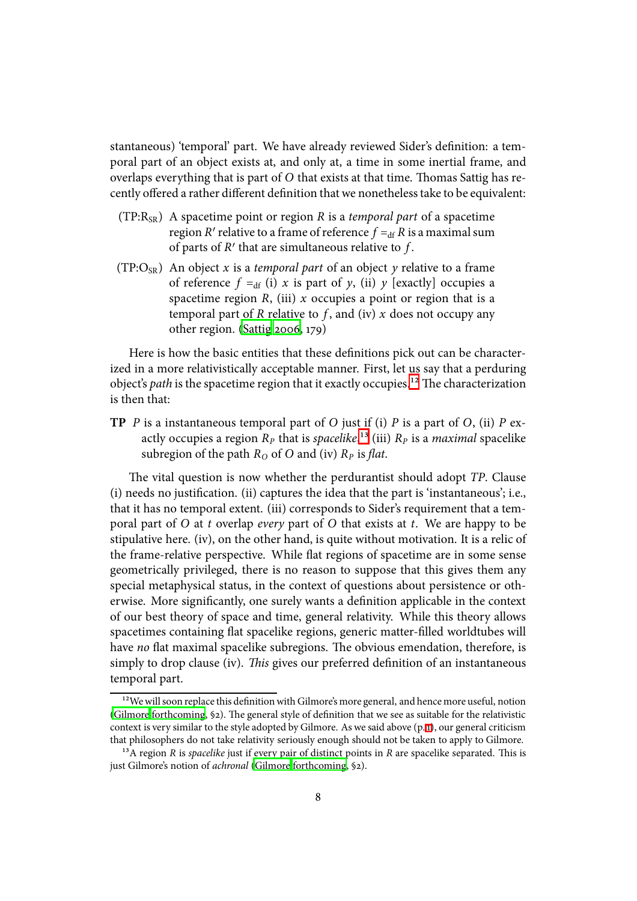stantaneous) 'temporal' part. We have already reviewed Sider's definition: a temporal part of an object exists at, and only at, a time in some inertial frame, and overlaps everything that is part of  $O$  that exists at that time. Thomas Sattig has recently offered a rather different definition that we nonetheless take to be equivalent:

- (TP: $R_{SR}$ ) A spacetime point or region R is a temporal part of a spacetime region R' relative to a frame of reference  $f =_{df} R$  is a maximal sum of parts of  $R'$  that are simultaneous relative to  $f$ .
- (TP: $O_{SR}$ ) An object x is a temporal part of an object y relative to a frame of reference  $f =_{df} (i) x$  is part of y, (ii) y [exactly] occupies a spacetime region  $R$ , (iii)  $x$  occupies a point or region that is a temporal part of R relative to f, and (iv)  $x$  does not occupy any other region. [\(Sattig 2006](#page-43-7), 179)

Here is how the basic entities that these definitions pick out can be characterized in a more relativistically acceptable manner. First, let us say that a perduring object's *path* is the spacetime region that it exactly occupies.<sup>[12](#page-7-0)</sup> The characterization is then that:

**TP** P is a instantaneous temporal part of O just if (i) P is a part of O, (ii) P exactly occupies a region  $R_p$  that is *spacelike*,<sup>[13](#page-7-1)</sup> (iii)  $R_p$  is a *maximal* spacelike subregion of the path  $R_{\Omega}$  of O and (iv)  $R_{p}$  is flat.

The vital question is now whether the perdurantist should adopt TP. Clause (i) needs no justification. (ii) captures the idea that the part is 'instantaneous'; i.e., that it has no temporal extent. (iii) corresponds to Sider's requirement that a temporal part of O at t overlap every part of O that exists at t. We are happy to be stipulative here. (iv), on the other hand, is quite without motivation. It is a relic of the frame-relative perspective. While flat regions of spacetime are in some sense geometrically privileged, there is no reason to suppose that this gives them any special metaphysical status, in the context of questions about persistence or otherwise. More significantly, one surely wants a definition applicable in the context of our best theory of space and time, general relativity. While this theory allows spacetimes containing flat spacelike regions, generic matter-filled worldtubes will have no flat maximal spacelike subregions. The obvious emendation, therefore, is simply to drop clause (iv). This gives our preferred definition of an instantaneous temporal part.

<span id="page-7-0"></span><sup>&</sup>lt;sup>12</sup>We will soon replace this definition with Gilmore's more general, and hence more useful, notion [\(Gilmore forthcoming,](#page-42-0)  $\S$ 2). The general style of definition that we see as suitable for the relativistic context is very similar to the style adopted by Gilmore. As we said above (p. [1\)](#page-0-1), our general criticism that philosophers do not take relativity seriously enough should not be taken to apply to Gilmore.

<span id="page-7-1"></span> $13A$  region R is *spacelike* just if every pair of distinct points in R are spacelike separated. This is just Gilmore's notion of *achronal* [\(Gilmore forthcoming](#page-42-0), §2).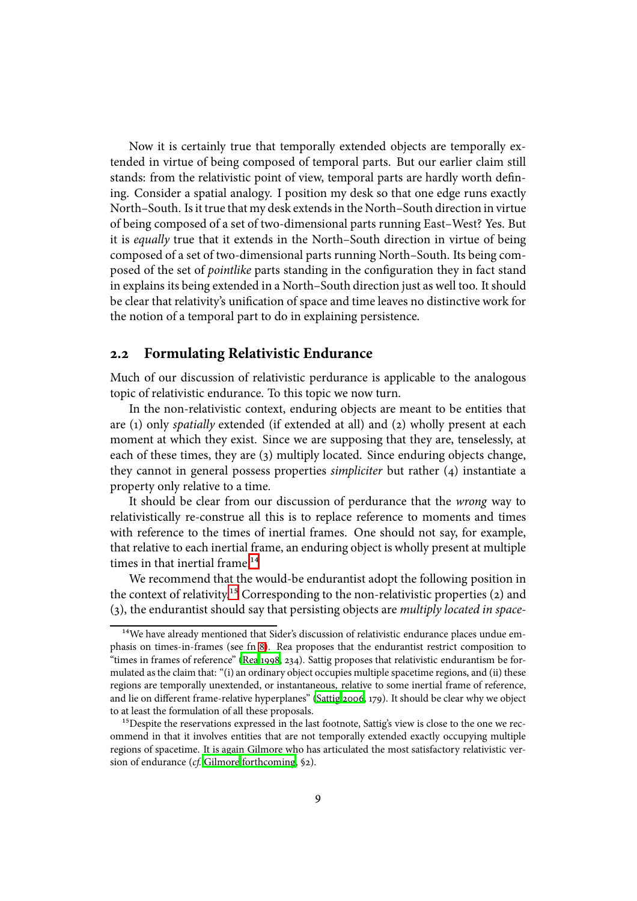Now it is certainly true that temporally extended objects are temporally extended in virtue of being composed of temporal parts. But our earlier claim still stands: from the relativistic point of view, temporal parts are hardly worth defining. Consider a spatial analogy. I position my desk so that one edge runs exactly North–South. Is it true that my desk extends in the North–South direction in virtue of being composed of a set of two-dimensional parts running East–West? Yes. But it is equally true that it extends in the North–South direction in virtue of being composed of a set of two-dimensional parts running North–South. Its being composed of the set of *pointlike* parts standing in the configuration they in fact stand in explains its being extended in a North–South direction just as well too. It should be clear that relativity's unification of space and time leaves no distinctive work for the notion of a temporal part to do in explaining persistence.

#### <span id="page-8-2"></span>**2.2 Formulating Relativistic Endurance**

Much of our discussion of relativistic perdurance is applicable to the analogous topic of relativistic endurance. To this topic we now turn.

In the non-relativistic context, enduring objects are meant to be entities that are (1) only spatially extended (if extended at all) and (2) wholly present at each moment at which they exist. Since we are supposing that they are, tenselessly, at each of these times, they are (3) multiply located. Since enduring objects change, they cannot in general possess properties simpliciter but rather (4) instantiate a property only relative to a time.

It should be clear from our discussion of perdurance that the wrong way to relativistically re-construe all this is to replace reference to moments and times with reference to the times of inertial frames. One should not say, for example, that relative to each inertial frame, an enduring object is wholly present at multiple times in that inertial frame.<sup>[14](#page-8-0)</sup>

We recommend that the would-be endurantist adopt the following position in the context of relativity.<sup>[15](#page-8-1)</sup> Corresponding to the non-relativistic properties  $(z)$  and (3), the endurantist should say that persisting objects are multiply located in space-

<span id="page-8-0"></span><sup>&</sup>lt;sup>14</sup>We have already mentioned that Sider's discussion of relativistic endurance places undue emphasis on times-in-frames (see fn [8\)](#page-5-0). Rea proposes that the endurantist restrict composition to "times in frames of reference" [\(Rea 1998](#page-43-8), 234). Sattig proposes that relativistic endurantism be formulated as the claim that: "(i) an ordinary object occupies multiple spacetime regions, and (ii) these regions are temporally unextended, or instantaneous, relative to some inertial frame of reference, and lie on different frame-relative hyperplanes" [\(Sattig 2006,](#page-43-7) 179). It should be clear why we object to at least the formulation of all these proposals.

<span id="page-8-1"></span><sup>&</sup>lt;sup>15</sup>Despite the reservations expressed in the last footnote, Sattig's view is close to the one we recommend in that it involves entities that are not temporally extended exactly occupying multiple regions of spacetime. It is again Gilmore who has articulated the most satisfactory relativistic version of endurance (cf. [Gilmore forthcoming,](#page-42-0) §2).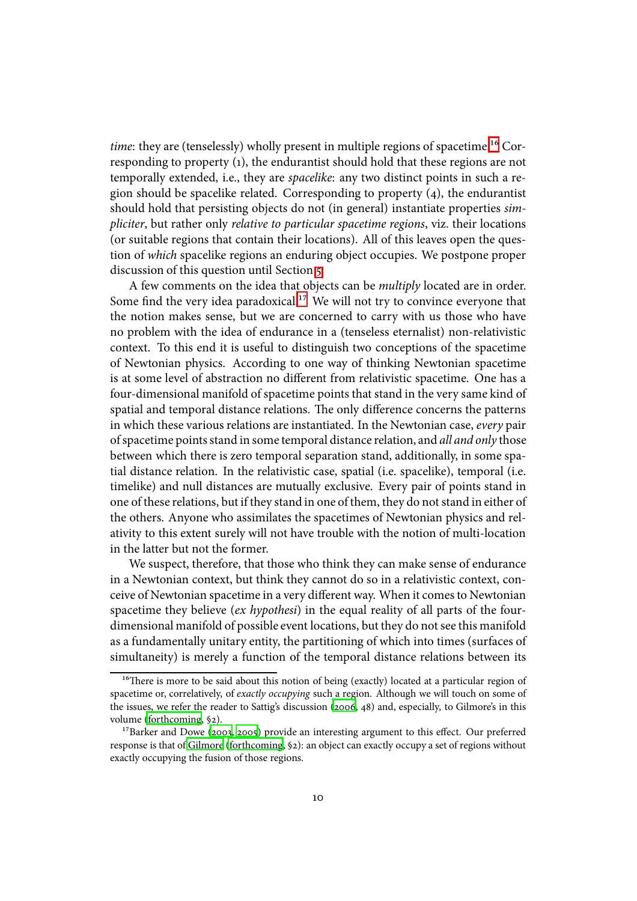time: they are (tenselessly) wholly present in multiple regions of spacetime.<sup>[16](#page-9-0)</sup> Corresponding to property (1), the endurantist should hold that these regions are not temporally extended, i.e., they are spacelike: any two distinct points in such a region should be spacelike related. Corresponding to property (4), the endurantist should hold that persisting objects do not (in general) instantiate properties simpliciter, but rather only relative to particular spacetime regions, viz. their locations (or suitable regions that contain their locations). All of this leaves open the question of which spacelike regions an enduring object occupies. We postpone proper discussion of this question until Section [5.](#page-27-0)

A few comments on the idea that objects can be *multiply* located are in order. Some find the very idea paradoxical.<sup>[17](#page-9-1)</sup> We will not try to convince everyone that the notion makes sense, but we are concerned to carry with us those who have no problem with the idea of endurance in a (tenseless eternalist) non-relativistic context. To this end it is useful to distinguish two conceptions of the spacetime of Newtonian physics. According to one way of thinking Newtonian spacetime is at some level of abstraction no different from relativistic spacetime. One has a four-dimensional manifold of spacetime points that stand in the very same kind of spatial and temporal distance relations. The only difference concerns the patterns in which these various relations are instantiated. In the Newtonian case, every pair of spacetime points stand in some temporal distance relation, and all and only those between which there is zero temporal separation stand, additionally, in some spatial distance relation. In the relativistic case, spatial (i.e. spacelike), temporal (i.e. timelike) and null distances are mutually exclusive. Every pair of points stand in one of these relations, but if they stand in one of them, they do not stand in either of the others. Anyone who assimilates the spacetimes of Newtonian physics and relativity to this extent surely will not have trouble with the notion of multi-location in the latter but not the former.

We suspect, therefore, that those who think they can make sense of endurance in a Newtonian context, but think they cannot do so in a relativistic context, conceive of Newtonian spacetime in a very different way. When it comes to Newtonian spacetime they believe (ex hypothesi) in the equal reality of all parts of the fourdimensional manifold of possible event locations, but they do not see this manifold as a fundamentally unitary entity, the partitioning of which into times (surfaces of simultaneity) is merely a function of the temporal distance relations between its

<span id="page-9-0"></span><sup>&</sup>lt;sup>16</sup>There is more to be said about this notion of being (exactly) located at a particular region of spacetime or, correlatively, of exactly occupying such a region. Although we will touch on some of the issues, we refer the reader to Sattig's discussion [\(2006](#page-43-7), 48) and, especially, to Gilmore's in this volume [\(forthcoming](#page-42-0), §2).

<span id="page-9-1"></span> $17B$ arker and Dowe [\(2003,](#page-42-4) [2005](#page-42-5)) provide an interesting argument to this effect. Our preferred response is that of [Gilmore](#page-42-0) [\(forthcoming](#page-42-0), §2): an object can exactly occupy a set of regions without exactly occupying the fusion of those regions.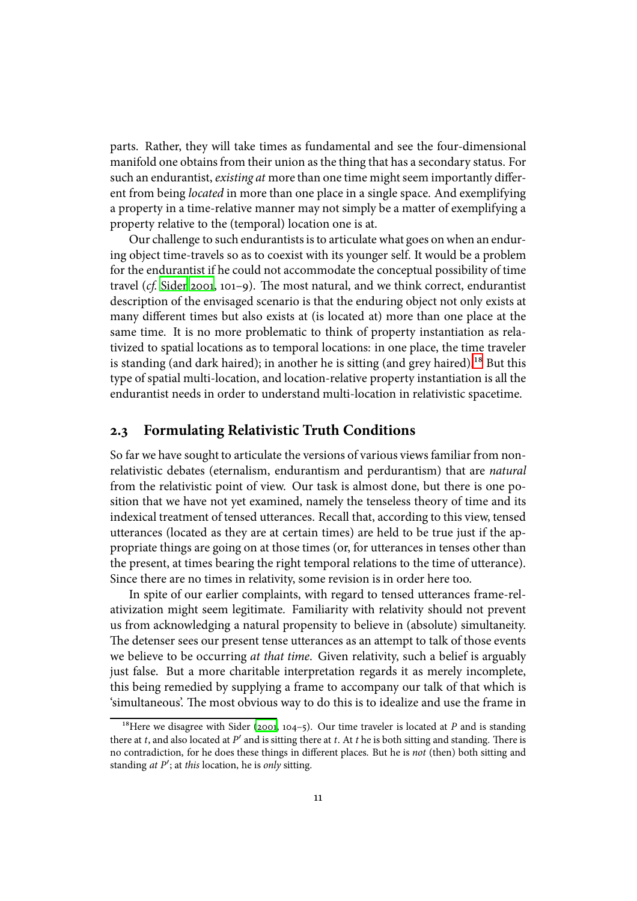parts. Rather, they will take times as fundamental and see the four-dimensional manifold one obtains from their union as the thing that has a secondary status. For such an endurantist, existing at more than one time might seem importantly different from being located in more than one place in a single space. And exemplifying a property in a time-relative manner may not simply be a matter of exemplifying a property relative to the (temporal) location one is at.

Our challenge to such endurantists is to articulate what goes on when an enduring object time-travels so as to coexist with its younger self. It would be a problem for the endurantist if he could not accommodate the conceptual possibility of time travel (cf. [Sider 2001,](#page-43-6) 101–9). The most natural, and we think correct, endurantist description of the envisaged scenario is that the enduring object not only exists at many different times but also exists at (is located at) more than one place at the same time. It is no more problematic to think of property instantiation as relativized to spatial locations as to temporal locations: in one place, the time traveler is standing (and dark haired); in another he is sitting (and grey haired).<sup>[18](#page-10-0)</sup> But this type of spatial multi-location, and location-relative property instantiation is all the endurantist needs in order to understand multi-location in relativistic spacetime.

#### <span id="page-10-1"></span>**2.3 Formulating Relativistic Truth Conditions**

So far we have sought to articulate the versions of various views familiar from nonrelativistic debates (eternalism, endurantism and perdurantism) that are natural from the relativistic point of view. Our task is almost done, but there is one position that we have not yet examined, namely the tenseless theory of time and its indexical treatment of tensed utterances. Recall that, according to this view, tensed utterances (located as they are at certain times) are held to be true just if the appropriate things are going on at those times (or, for utterances in tenses other than the present, at times bearing the right temporal relations to the time of utterance). Since there are no times in relativity, some revision is in order here too.

In spite of our earlier complaints, with regard to tensed utterances frame-relativization might seem legitimate. Familiarity with relativity should not prevent us from acknowledging a natural propensity to believe in (absolute) simultaneity. The detenser sees our present tense utterances as an attempt to talk of those events we believe to be occurring at that time. Given relativity, such a belief is arguably just false. But a more charitable interpretation regards it as merely incomplete, this being remedied by supplying a frame to accompany our talk of that which is 'simultaneous'. The most obvious way to do this is to idealize and use the frame in

<span id="page-10-0"></span><sup>&</sup>lt;sup>18</sup>Here we disagree with Sider [\(2001,](#page-43-6) 104–5). Our time traveler is located at P and is standing there at t, and also located at P' and is sitting there at t. At t he is both sitting and standing. There is no contradiction, for he does these things in different places. But he is *not* (then) both sitting and standing at P'; at this location, he is only sitting.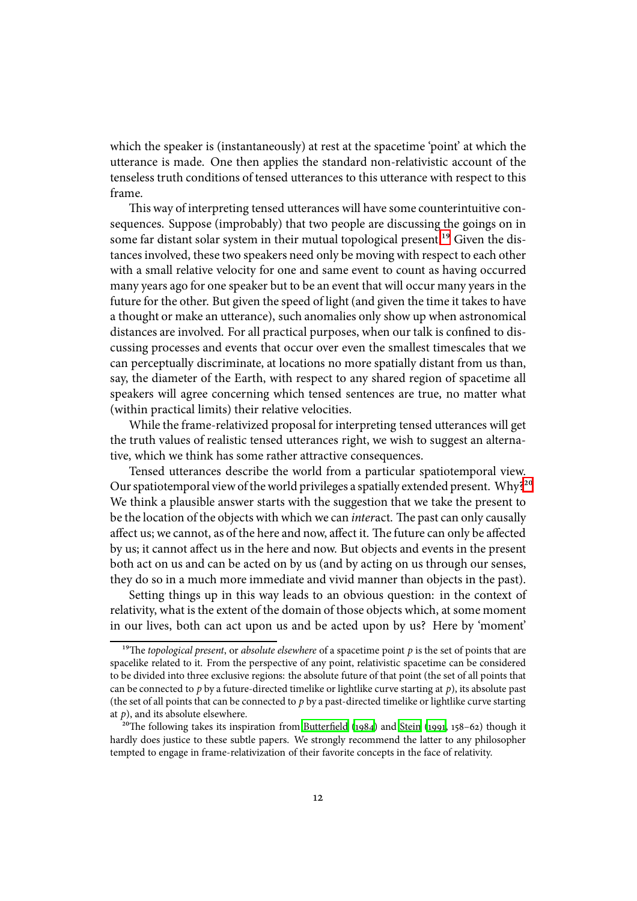which the speaker is (instantaneously) at rest at the spacetime 'point' at which the utterance is made. One then applies the standard non-relativistic account of the tenseless truth conditions of tensed utterances to this utterance with respect to this frame.

This way of interpreting tensed utterances will have some counterintuitive consequences. Suppose (improbably) that two people are discussing the goings on in some far distant solar system in their mutual topological present.<sup>[19](#page-11-0)</sup> Given the distances involved, these two speakers need only be moving with respect to each other with a small relative velocity for one and same event to count as having occurred many years ago for one speaker but to be an event that will occur many years in the future for the other. But given the speed of light (and given the time it takes to have a thought or make an utterance), such anomalies only show up when astronomical distances are involved. For all practical purposes, when our talk is confined to discussing processes and events that occur over even the smallest timescales that we can perceptually discriminate, at locations no more spatially distant from us than, say, the diameter of the Earth, with respect to any shared region of spacetime all speakers will agree concerning which tensed sentences are true, no matter what (within practical limits) their relative velocities.

While the frame-relativized proposal for interpreting tensed utterances will get the truth values of realistic tensed utterances right, we wish to suggest an alternative, which we think has some rather attractive consequences.

Tensed utterances describe the world from a particular spatiotemporal view. Our spatiotemporal view of the world privileges a spatially extended present. Why?<sup>[20](#page-11-1)</sup> We think a plausible answer starts with the suggestion that we take the present to be the location of the objects with which we can *interact*. The past can only causally affect us; we cannot, as of the here and now, affect it. The future can only be affected by us; it cannot affect us in the here and now. But objects and events in the present both act on us and can be acted on by us (and by acting on us through our senses, they do so in a much more immediate and vivid manner than objects in the past).

Setting things up in this way leads to an obvious question: in the context of relativity, what is the extent of the domain of those objects which, at some moment in our lives, both can act upon us and be acted upon by us? Here by 'moment'

<span id="page-11-0"></span><sup>&</sup>lt;sup>19</sup>The topological present, or absolute elsewhere of a spacetime point  $p$  is the set of points that are spacelike related to it. From the perspective of any point, relativistic spacetime can be considered to be divided into three exclusive regions: the absolute future of that point (the set of all points that can be connected to p by a future-directed timelike or lightlike curve starting at  $p$ ), its absolute past (the set of all points that can be connected to  $p$  by a past-directed timelike or lightlike curve starting at  $p$ ), and its absolute elsewhere.

<span id="page-11-1"></span><sup>&</sup>lt;sup>20</sup>The following takes its inspiration from Butterfield [\(1984](#page-42-6)) and [Stein](#page-43-9) [\(1991](#page-43-9), 158–62) though it hardly does justice to these subtle papers. We strongly recommend the latter to any philosopher tempted to engage in frame-relativization of their favorite concepts in the face of relativity.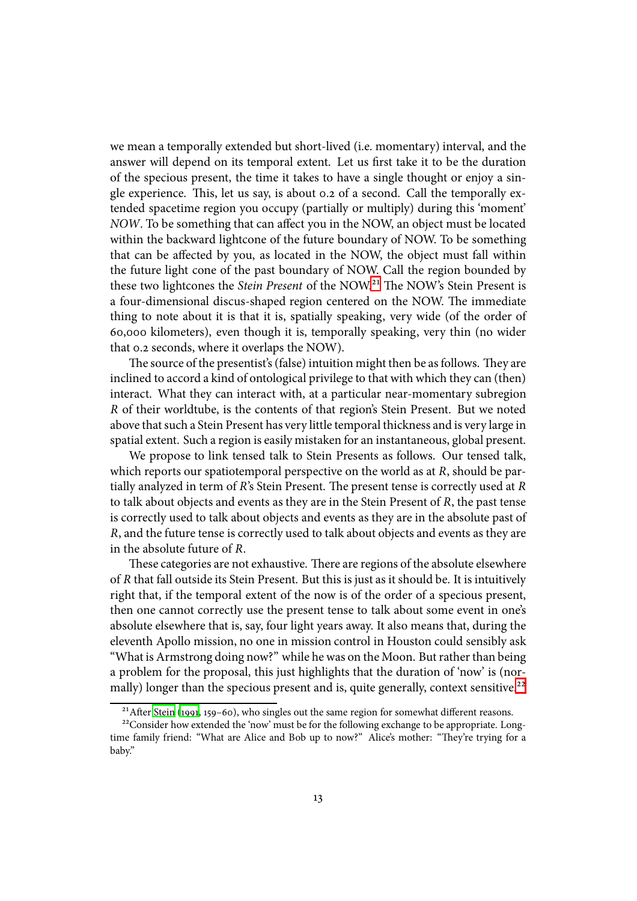we mean a temporally extended but short-lived (i.e. momentary) interval, and the answer will depend on its temporal extent. Let us first take it to be the duration of the specious present, the time it takes to have a single thought or enjoy a single experience. This, let us say, is about 0.2 of a second. Call the temporally extended spacetime region you occupy (partially or multiply) during this 'moment' NOW. To be something that can affect you in the NOW, an object must be located within the backward lightcone of the future boundary of NOW. To be something that can be affected by you, as located in the NOW, the object must fall within the future light cone of the past boundary of NOW. Call the region bounded by these two lightcones the Stein Present of the NOW.<sup>[21](#page-12-0)</sup> The NOW's Stein Present is a four-dimensional discus-shaped region centered on the NOW. The immediate thing to note about it is that it is, spatially speaking, very wide (of the order of 60,000 kilometers), even though it is, temporally speaking, very thin (no wider that 0.2 seconds, where it overlaps the NOW).

The source of the presentist's (false) intuition might then be as follows. They are inclined to accord a kind of ontological privilege to that with which they can (then) interact. What they can interact with, at a particular near-momentary subregion R of their worldtube, is the contents of that region's Stein Present. But we noted above that such a Stein Present has very little temporal thickness and is very large in spatial extent. Such a region is easily mistaken for an instantaneous, global present.

We propose to link tensed talk to Stein Presents as follows. Our tensed talk, which reports our spatiotemporal perspective on the world as at  $R$ , should be partially analyzed in term of  $R$ 's Stein Present. The present tense is correctly used at  $R$ to talk about objects and events as they are in the Stein Present of  $R$ , the past tense is correctly used to talk about objects and events as they are in the absolute past of R, and the future tense is correctly used to talk about objects and events as they are in the absolute future of R.

These categories are not exhaustive. There are regions of the absolute elsewhere of R that fall outside its Stein Present. But this is just as it should be. It is intuitively right that, if the temporal extent of the now is of the order of a specious present, then one cannot correctly use the present tense to talk about some event in one's absolute elsewhere that is, say, four light years away. It also means that, during the eleventh Apollo mission, no one in mission control in Houston could sensibly ask "What is Armstrong doing now?" while he was on the Moon. But rather than being a problem for the proposal, this just highlights that the duration of 'now' is (nor-mally) longer than the specious present and is, quite generally, context sensitive.<sup>[22](#page-12-1)</sup>

<sup>&</sup>lt;sup>21</sup> After [Stein](#page-43-9) [\(1991,](#page-43-9) 159–60), who singles out the same region for somewhat different reasons.

<span id="page-12-1"></span><span id="page-12-0"></span> $22$ Consider how extended the 'now' must be for the following exchange to be appropriate. Longtime family friend: "What are Alice and Bob up to now?" Alice's mother: "They're trying for a baby."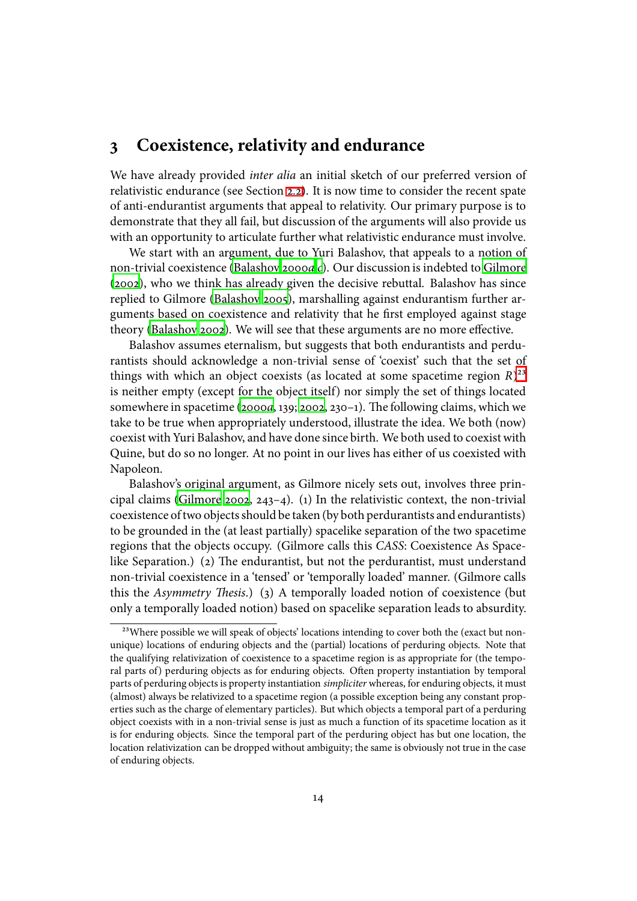# <span id="page-13-0"></span>**3 Coexistence, relativity and endurance**

We have already provided inter alia an initial sketch of our preferred version of relativistic endurance (see Section [2.2\)](#page-8-2). It is now time to consider the recent spate of anti-endurantist arguments that appeal to relativity. Our primary purpose is to demonstrate that they all fail, but discussion of the arguments will also provide us with an opportunity to articulate further what relativistic endurance must involve.

We start with an argument, due to Yuri Balashov, that appeals to a notion of non-trivial [c](#page-42-8)oexistence (Balashov  $2000a,c$ ). Our discussion is indebted to [Gilmore](#page-42-9) [\(2002](#page-42-9)), who we think has already given the decisive rebuttal. Balashov has since replied to Gilmore [\(Balashov 2005\)](#page-42-10), marshalling against endurantism further arguments based on coexistence and relativity that he first employed against stage theory [\(Balashov 2002\)](#page-42-11). We will see that these arguments are no more effective.

Balashov assumes eternalism, but suggests that both endurantists and perdurantists should acknowledge a non-trivial sense of 'coexist' such that the set of things with which an object coexists (as located at some spacetime region  $R$ )<sup>[23](#page-13-1)</sup> is neither empty (except for the object itself) nor simply the set of things located somewhere in spacetime [\(2000](#page-42-7)a, 139; [2002](#page-42-11), 230–1). The following claims, which we take to be true when appropriately understood, illustrate the idea. We both (now) coexist with Yuri Balashov, and have done since birth. We both used to coexist with Quine, but do so no longer. At no point in our lives has either of us coexisted with Napoleon.

Balashov's original argument, as Gilmore nicely sets out, involves three principal claims [\(Gilmore 2002](#page-42-9), 243–4). (1) In the relativistic context, the non-trivial coexistence of two objects should be taken (by both perdurantists and endurantists) to be grounded in the (at least partially) spacelike separation of the two spacetime regions that the objects occupy. (Gilmore calls this CASS: Coexistence As Spacelike Separation.) (2) The endurantist, but not the perdurantist, must understand non-trivial coexistence in a 'tensed' or 'temporally loaded' manner. (Gilmore calls this the Asymmetry Thesis.) (3) A temporally loaded notion of coexistence (but only a temporally loaded notion) based on spacelike separation leads to absurdity.

<span id="page-13-1"></span><sup>&</sup>lt;sup>23</sup>Where possible we will speak of objects' locations intending to cover both the (exact but nonunique) locations of enduring objects and the (partial) locations of perduring objects. Note that the qualifying relativization of coexistence to a spacetime region is as appropriate for (the temporal parts of) perduring objects as for enduring objects. Often property instantiation by temporal parts of perduring objects is property instantiation simpliciter whereas, for enduring objects, it must (almost) always be relativized to a spacetime region (a possible exception being any constant properties such as the charge of elementary particles). But which objects a temporal part of a perduring object coexists with in a non-trivial sense is just as much a function of its spacetime location as it is for enduring objects. Since the temporal part of the perduring object has but one location, the location relativization can be dropped without ambiguity; the same is obviously not true in the case of enduring objects.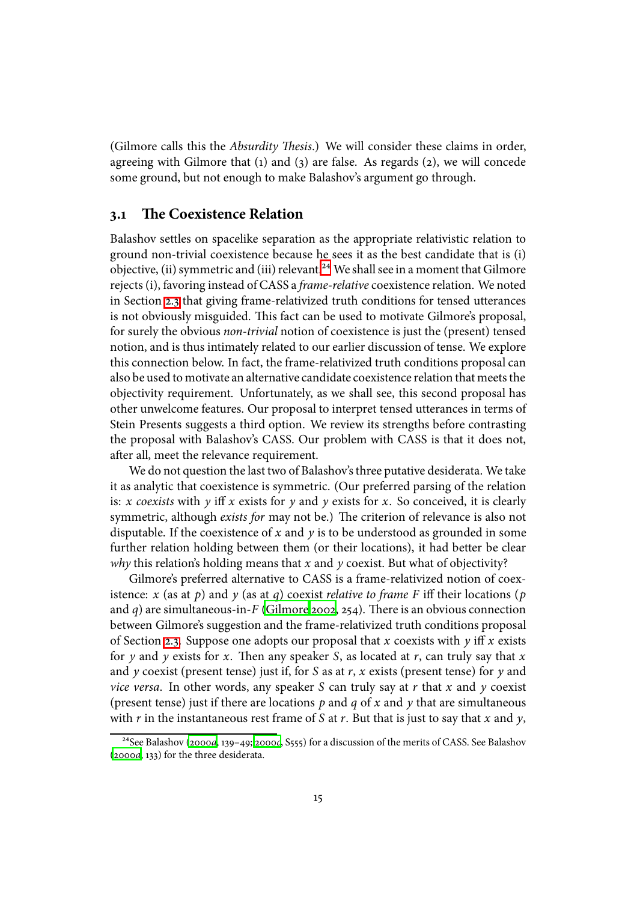(Gilmore calls this the *Absurdity Thesis.*) We will consider these claims in order, agreeing with Gilmore that (1) and (3) are false. As regards (2), we will concede some ground, but not enough to make Balashov's argument go through.

#### **3.1** The Coexistence Relation

Balashov settles on spacelike separation as the appropriate relativistic relation to ground non-trivial coexistence because he sees it as the best candidate that is (i) objective, (ii) symmetric and (iii) relevant.<sup>[24](#page-14-0)</sup> We shall see in a moment that Gilmore rejects (i), favoring instead of CASS a frame-relative coexistence relation. We noted in Section [2.3](#page-10-1) that giving frame-relativized truth conditions for tensed utterances is not obviously misguided. This fact can be used to motivate Gilmore's proposal, for surely the obvious non-trivial notion of coexistence is just the (present) tensed notion, and is thus intimately related to our earlier discussion of tense. We explore this connection below. In fact, the frame-relativized truth conditions proposal can also be used to motivate an alternative candidate coexistence relation that meets the objectivity requirement. Unfortunately, as we shall see, this second proposal has other unwelcome features. Our proposal to interpret tensed utterances in terms of Stein Presents suggests a third option. We review its strengths before contrasting the proposal with Balashov's CASS. Our problem with CASS is that it does not, after all, meet the relevance requirement.

We do not question the last two of Balashov's three putative desiderata. We take it as analytic that coexistence is symmetric. (Our preferred parsing of the relation is: x coexists with  $y$  iff  $x$  exists for  $y$  and  $y$  exists for  $x$ . So conceived, it is clearly symmetric, although exists for may not be.) The criterion of relevance is also not disputable. If the coexistence of  $x$  and  $y$  is to be understood as grounded in some further relation holding between them (or their locations), it had better be clear why this relation's holding means that  $x$  and  $y$  coexist. But what of objectivity?

Gilmore's preferred alternative to CASS is a frame-relativized notion of coexistence: x (as at p) and y (as at q) coexist relative to frame F iff their locations (p and q) are simultaneous-in-F [\(Gilmore 2002,](#page-42-9) 254). There is an obvious connection between Gilmore's suggestion and the frame-relativized truth conditions proposal of Section [2.3.](#page-10-1) Suppose one adopts our proposal that x coexists with  $y$  iff x exists for y and y exists for x. Then any speaker S, as located at r, can truly say that x and  $y$  coexist (present tense) just if, for S as at  $r$ ,  $x$  exists (present tense) for  $y$  and *vice versa*. In other words, any speaker S can truly say at r that x and y coexist (present tense) just if there are locations  $p$  and  $q$  of  $x$  and  $y$  that are simultaneous with  $r$  in the instantaneous rest frame of  $S$  at  $r$ . But that is just to say that  $x$  and  $y$ ,

<span id="page-14-0"></span><sup>24</sup>See Balashov [\(2000](#page-42-7)a, 139–49; [2000](#page-42-8)c, S555) for a discussion of the merits of CASS. See Balashov [\(2000](#page-42-7)a, 133) for the three desiderata.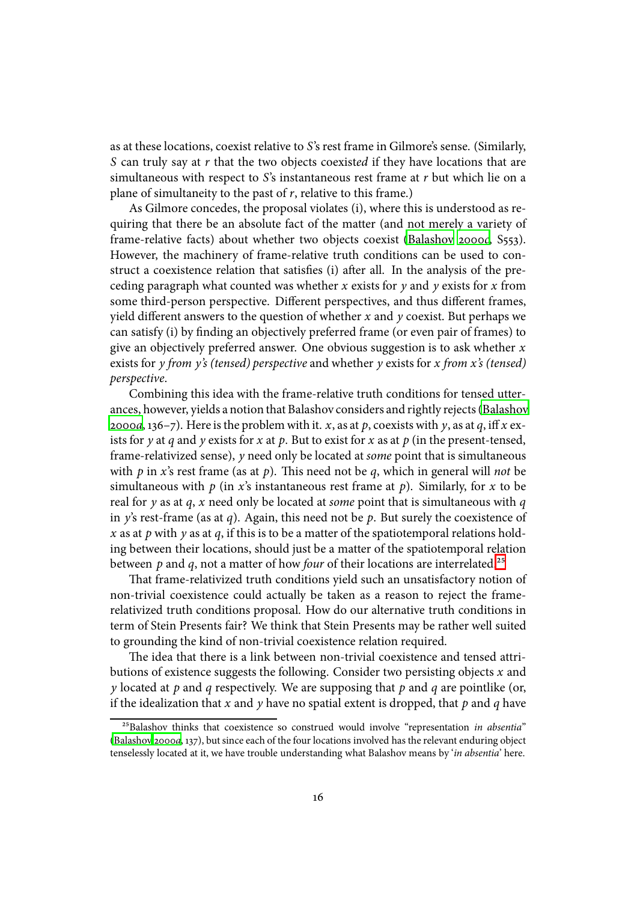as at these locations, coexist relative to S's rest frame in Gilmore's sense. (Similarly, S can truly say at  $r$  that the two objects coexisted if they have locations that are simultaneous with respect to S's instantaneous rest frame at r but which lie on a plane of simultaneity to the past of  $r$ , relative to this frame.)

As Gilmore concedes, the proposal violates (i), where this is understood as requiring that there be an absolute fact of the matter (and not merely a variety of frame-relative facts) about whether two objects coexist [\(Balashov 2000](#page-42-8)c, S553). However, the machinery of frame-relative truth conditions can be used to construct a coexistence relation that satisfies (i) after all. In the analysis of the preceding paragraph what counted was whether  $x$  exists for  $y$  and  $y$  exists for  $x$  from some third-person perspective. Different perspectives, and thus different frames, yield different answers to the question of whether  $x$  and  $y$  coexist. But perhaps we can satisfy (i) by finding an objectively preferred frame (or even pair of frames) to give an objectively preferred answer. One obvious suggestion is to ask whether  $x$ exists for y from y's (tensed) perspective and whether y exists for x from x's (tensed) perspective.

Combining this idea with the frame-relative truth conditions for tensed utterances, however, yields a notion that Balashov considers and rightly rejects [\(Balashov](#page-42-7) [2000](#page-42-7)a, 136–7). Here is the problem with it. x, as at p, coexists with y, as at q, iff x exists for y at q and y exists for x at p. But to exist for x as at p (in the present-tensed, frame-relativized sense),  $y$  need only be located at some point that is simultaneous with  $p$  in x's rest frame (as at  $p$ ). This need not be  $q$ , which in general will not be simultaneous with  $p$  (in x's instantaneous rest frame at  $p$ ). Similarly, for x to be real for y as at q, x need only be located at *some* point that is simultaneous with q in y's rest-frame (as at q). Again, this need not be  $p$ . But surely the coexistence of x as at p with y as at q, if this is to be a matter of the spatiotemporal relations holding between their locations, should just be a matter of the spatiotemporal relation between  $p$  and  $q$ , not a matter of how *four* of their locations are interrelated.<sup>[25](#page-15-0)</sup>

That frame-relativized truth conditions yield such an unsatisfactory notion of non-trivial coexistence could actually be taken as a reason to reject the framerelativized truth conditions proposal. How do our alternative truth conditions in term of Stein Presents fair? We think that Stein Presents may be rather well suited to grounding the kind of non-trivial coexistence relation required.

The idea that there is a link between non-trivial coexistence and tensed attributions of existence suggests the following. Consider two persisting objects  $x$  and y located at p and q respectively. We are supposing that p and q are pointlike (or, if the idealization that x and y have no spatial extent is dropped, that  $p$  and  $q$  have

<span id="page-15-0"></span> $25$ Balashov thinks that coexistence so construed would involve "representation in absentia" [\(Balashov 2000](#page-42-7)a, 137), but since each of the four locations involved has the relevant enduring object tenselessly located at it, we have trouble understanding what Balashov means by 'in absentia' here.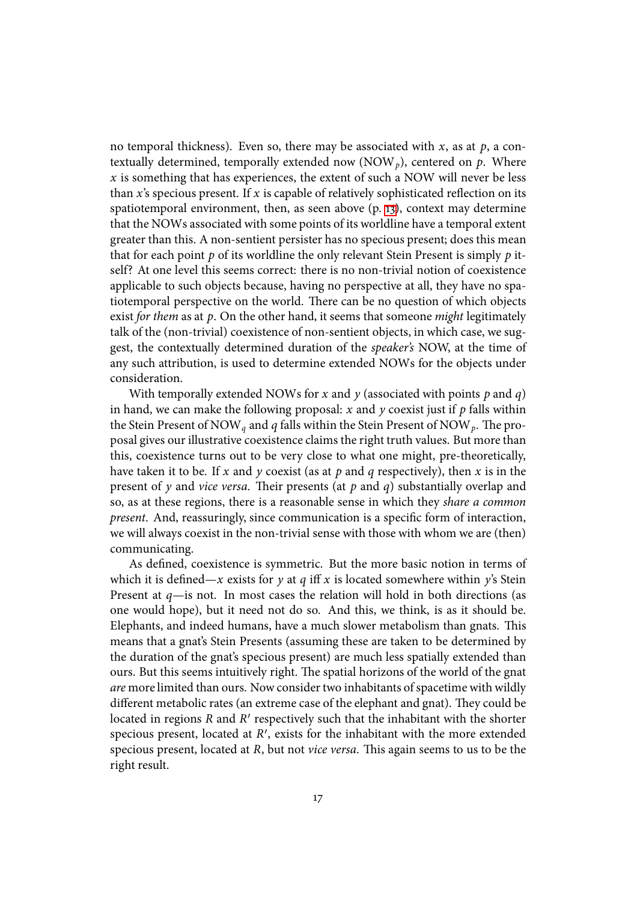no temporal thickness). Even so, there may be associated with x, as at p, a contextually determined, temporally extended now (NOW<sub>p</sub>), centered on  $p$ . Where  $x$  is something that has experiences, the extent of such a NOW will never be less than x's specious present. If x is capable of relatively sophisticated reflection on its spatiotemporal environment, then, as seen above (p. [13\)](#page-10-1), context may determine that the NOWs associated with some points of its worldline have a temporal extent greater than this. A non-sentient persister has no specious present; does this mean that for each point p of its worldline the only relevant Stein Present is simply p itself? At one level this seems correct: there is no non-trivial notion of coexistence applicable to such objects because, having no perspective at all, they have no spatiotemporal perspective on the world. There can be no question of which objects exist for them as at  $p$ . On the other hand, it seems that someone *might* legitimately talk of the (non-trivial) coexistence of non-sentient objects, in which case, we suggest, the contextually determined duration of the speaker's NOW, at the time of any such attribution, is used to determine extended NOWs for the objects under consideration.

With temporally extended NOWs for x and y (associated with points p and q) in hand, we can make the following proposal:  $x$  and  $y$  coexist just if  $p$  falls within the Stein Present of NOW<sub>q</sub> and q falls within the Stein Present of NOW<sub>p</sub>. The proposal gives our illustrative coexistence claims the right truth values. But more than this, coexistence turns out to be very close to what one might, pre-theoretically, have taken it to be. If x and y coexist (as at p and q respectively), then x is in the present of y and vice versa. Their presents (at p and q) substantially overlap and so, as at these regions, there is a reasonable sense in which they share a common present. And, reassuringly, since communication is a specific form of interaction, we will always coexist in the non-trivial sense with those with whom we are (then) communicating.

As defined, coexistence is symmetric. But the more basic notion in terms of which it is defined—x exists for y at q iff x is located somewhere within y's Stein Present at  $q$ —is not. In most cases the relation will hold in both directions (as one would hope), but it need not do so. And this, we think, is as it should be. Elephants, and indeed humans, have a much slower metabolism than gnats. This means that a gnat's Stein Presents (assuming these are taken to be determined by the duration of the gnat's specious present) are much less spatially extended than ours. But this seems intuitively right. The spatial horizons of the world of the gnat are more limited than ours. Now consider two inhabitants of spacetime with wildly different metabolic rates (an extreme case of the elephant and gnat). They could be located in regions R and R' respectively such that the inhabitant with the shorter specious present, located at  $R'$ , exists for the inhabitant with the more extended specious present, located at  $R$ , but not *vice versa*. This again seems to us to be the right result.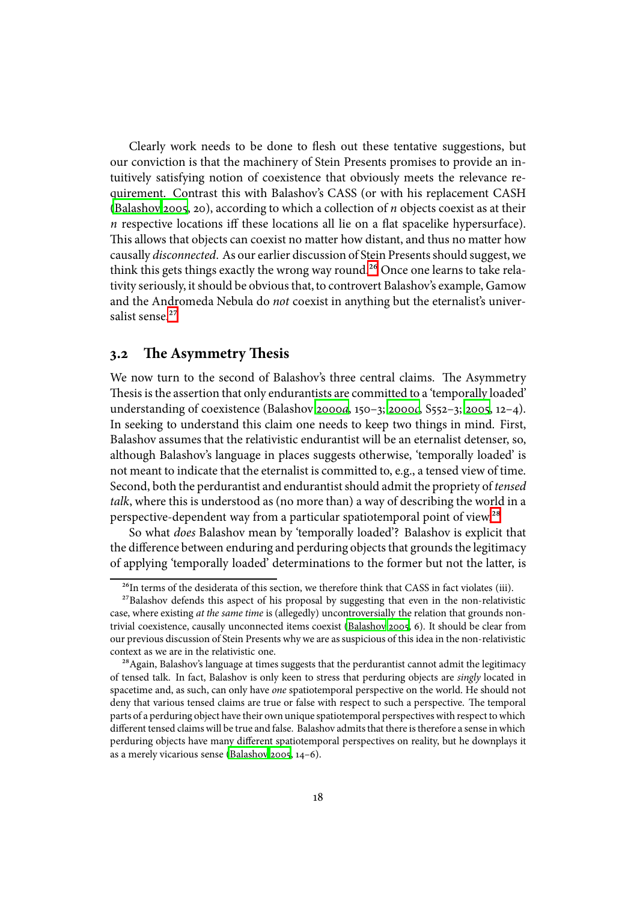Clearly work needs to be done to flesh out these tentative suggestions, but our conviction is that the machinery of Stein Presents promises to provide an intuitively satisfying notion of coexistence that obviously meets the relevance requirement. Contrast this with Balashov's CASS (or with his replacement CASH [\(Balashov 2005](#page-42-10), 20), according to which a collection of  $n$  objects coexist as at their  $n$  respective locations iff these locations all lie on a flat spacelike hypersurface). This allows that objects can coexist no matter how distant, and thus no matter how causally disconnected. As our earlier discussion of Stein Presents should suggest, we think this gets things exactly the wrong way round.<sup>[26](#page-17-0)</sup> Once one learns to take relativity seriously, it should be obvious that, to controvert Balashov's example, Gamow and the Andromeda Nebula do not coexist in anything but the eternalist's univer-salist sense.<sup>[27](#page-17-1)</sup>

#### **3.2** The Asymmetry Thesis

We now turn to the second of Balashov's three central claims. The Asymmetry Thesis is the assertion that only endurantists are committed to a 'temporally loaded' understanding of coexistence (Balashov [2000](#page-42-7)a, 150–3; [2000](#page-42-8)c, S552–3; [2005,](#page-42-10) 12–4). In seeking to understand this claim one needs to keep two things in mind. First, Balashov assumes that the relativistic endurantist will be an eternalist detenser, so, although Balashov's language in places suggests otherwise, 'temporally loaded' is not meant to indicate that the eternalist is committed to, e.g., a tensed view of time. Second, both the perdurantist and endurantist should admit the propriety of tensed talk, where this is understood as (no more than) a way of describing the world in a perspective-dependent way from a particular spatiotemporal point of view.<sup>[28](#page-17-2)</sup>

So what does Balashov mean by 'temporally loaded'? Balashov is explicit that the difference between enduring and perduring objects that grounds the legitimacy of applying 'temporally loaded' determinations to the former but not the latter, is

<sup>&</sup>lt;sup>26</sup>In terms of the desiderata of this section, we therefore think that CASS in fact violates (iii).

<span id="page-17-1"></span><span id="page-17-0"></span><sup>&</sup>lt;sup>27</sup>Balashov defends this aspect of his proposal by suggesting that even in the non-relativistic case, where existing at the same time is (allegedly) uncontroversially the relation that grounds nontrivial coexistence, causally unconnected items coexist [\(Balashov 2005,](#page-42-10) 6). It should be clear from our previous discussion of Stein Presents why we are as suspicious of this idea in the non-relativistic context as we are in the relativistic one.

<span id="page-17-2"></span><sup>&</sup>lt;sup>28</sup>Again, Balashov's language at times suggests that the perdurantist cannot admit the legitimacy of tensed talk. In fact, Balashov is only keen to stress that perduring objects are singly located in spacetime and, as such, can only have *one* spatiotemporal perspective on the world. He should not deny that various tensed claims are true or false with respect to such a perspective. The temporal parts of a perduring object have their own unique spatiotemporal perspectives with respect to which different tensed claims will be true and false. Balashov admits that there is therefore a sense in which perduring objects have many different spatiotemporal perspectives on reality, but he downplays it as a merely vicarious sense [\(Balashov 2005,](#page-42-10) 14–6).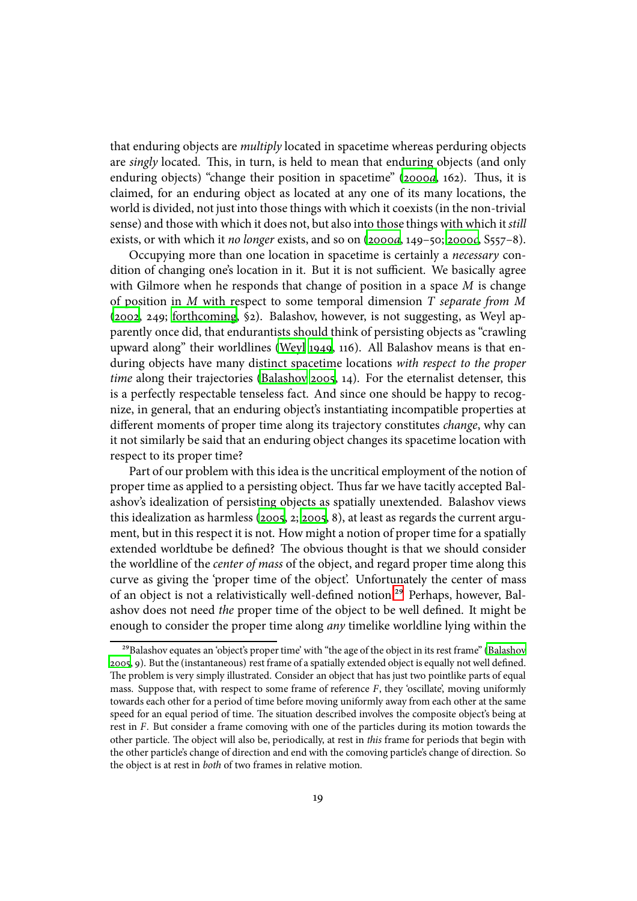that enduring objects are *multiply* located in spacetime whereas perduring objects are singly located. This, in turn, is held to mean that enduring objects (and only enduring objects) "change their position in spacetime" [\(2000](#page-42-7) $a$ , 162). Thus, it is claimed, for an enduring object as located at any one of its many locations, the world is divided, not just into those things with which it coexists (in the non-trivial sense) and those with which it does not, but also into those things with which it still exists, or with which it no longer exists, and so on [\(2000](#page-42-7)a, 149–50; [2000](#page-42-8)c, S557–8).

Occupying more than one location in spacetime is certainly a necessary condition of changing one's location in it. But it is not sufficient. We basically agree with Gilmore when he responds that change of position in a space  $M$  is change of position in M with respect to some temporal dimension T separate from M [\(2002](#page-42-9), 249; [forthcoming,](#page-42-0) §2). Balashov, however, is not suggesting, as Weyl apparently once did, that endurantists should think of persisting objects as "crawling upward along" their worldlines [\(Weyl 1949](#page-43-10), 116). All Balashov means is that enduring objects have many distinct spacetime locations with respect to the proper time along their trajectories [\(Balashov 2005,](#page-42-10) 14). For the eternalist detenser, this is a perfectly respectable tenseless fact. And since one should be happy to recognize, in general, that an enduring object's instantiating incompatible properties at different moments of proper time along its trajectory constitutes *change*, why can it not similarly be said that an enduring object changes its spacetime location with respect to its proper time?

Part of our problem with this idea is the uncritical employment of the notion of proper time as applied to a persisting object. Thus far we have tacitly accepted Balashov's idealization of persisting objects as spatially unextended. Balashov views this idealization as harmless [\(2005,](#page-42-10) 2; [2005,](#page-42-10) 8), at least as regards the current argument, but in this respect it is not. How might a notion of proper time for a spatially extended worldtube be defined? The obvious thought is that we should consider the worldline of the center of mass of the object, and regard proper time along this curve as giving the 'proper time of the object'. Unfortunately the center of mass of an object is not a relativistically well-defined notion.<sup>[29](#page-18-0)</sup> Perhaps, however, Balashov does not need the proper time of the object to be well defined. It might be enough to consider the proper time along any timelike worldline lying within the

<span id="page-18-0"></span><sup>&</sup>lt;sup>29</sup>Balashov equates an 'object's proper time' with "the age of the object in its rest frame" [\(Balashov](#page-42-10) [2005,](#page-42-10) 9). But the (instantaneous) rest frame of a spatially extended object is equally not well defined. The problem is very simply illustrated. Consider an object that has just two pointlike parts of equal mass. Suppose that, with respect to some frame of reference  $F$ , they 'oscillate', moving uniformly towards each other for a period of time before moving uniformly away from each other at the same speed for an equal period of time. The situation described involves the composite object's being at rest in F. But consider a frame comoving with one of the particles during its motion towards the other particle. The object will also be, periodically, at rest in this frame for periods that begin with the other particle's change of direction and end with the comoving particle's change of direction. So the object is at rest in both of two frames in relative motion.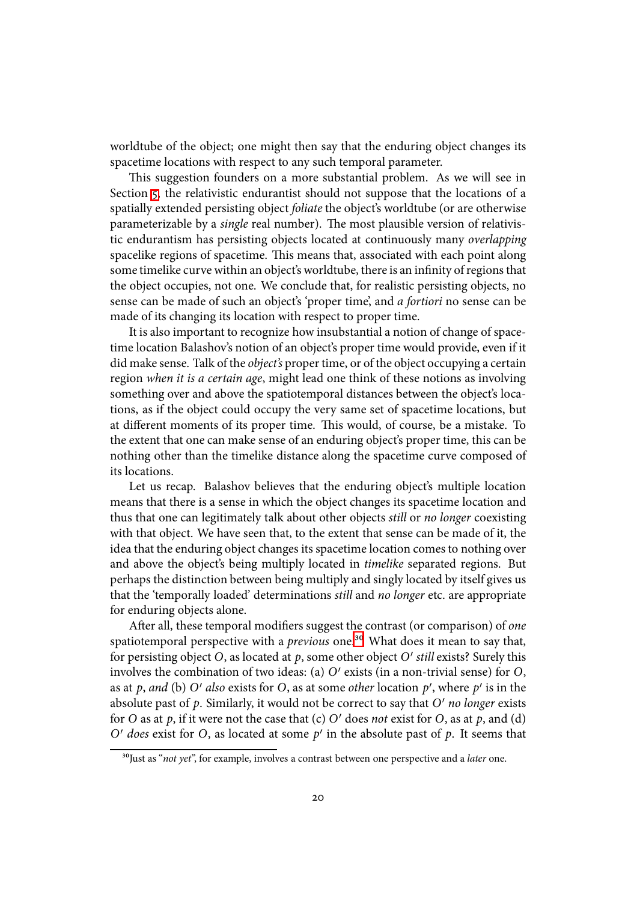worldtube of the object; one might then say that the enduring object changes its spacetime locations with respect to any such temporal parameter.

This suggestion founders on a more substantial problem. As we will see in Section [5,](#page-27-0) the relativistic endurantist should not suppose that the locations of a spatially extended persisting object foliate the object's worldtube (or are otherwise parameterizable by a *single* real number). The most plausible version of relativistic endurantism has persisting objects located at continuously many overlapping spacelike regions of spacetime. This means that, associated with each point along some timelike curve within an object's worldtube, there is an infinity of regions that the object occupies, not one. We conclude that, for realistic persisting objects, no sense can be made of such an object's 'proper time', and a fortiori no sense can be made of its changing its location with respect to proper time.

It is also important to recognize how insubstantial a notion of change of spacetime location Balashov's notion of an object's proper time would provide, even if it did make sense. Talk of the *object's* proper time, or of the object occupying a certain region when it is a certain age, might lead one think of these notions as involving something over and above the spatiotemporal distances between the object's locations, as if the object could occupy the very same set of spacetime locations, but at different moments of its proper time. This would, of course, be a mistake. To the extent that one can make sense of an enduring object's proper time, this can be nothing other than the timelike distance along the spacetime curve composed of its locations.

Let us recap. Balashov believes that the enduring object's multiple location means that there is a sense in which the object changes its spacetime location and thus that one can legitimately talk about other objects still or no longer coexisting with that object. We have seen that, to the extent that sense can be made of it, the idea that the enduring object changes its spacetime location comes to nothing over and above the object's being multiply located in timelike separated regions. But perhaps the distinction between being multiply and singly located by itself gives us that the 'temporally loaded' determinations still and no longer etc. are appropriate for enduring objects alone.

After all, these temporal modifiers suggest the contrast (or comparison) of one spatiotemporal perspective with a *previous* one.<sup>[30](#page-19-0)</sup> What does it mean to say that, for persisting object O, as located at p, some other object O' still exists? Surely this involves the combination of two ideas: (a) O′ exists (in a non-trivial sense) for O, as at p, and (b) O' also exists for O, as at some other location  $p'$ , where  $p'$  is in the absolute past of  $p$ . Similarly, it would not be correct to say that  $O'$  no longer exists for O as at p, if it were not the case that (c) O' does not exist for O, as at p, and (d) O' does exist for O, as located at some  $p'$  in the absolute past of  $p$ . It seems that

<span id="page-19-0"></span><sup>&</sup>lt;sup>30</sup>Just as "not yet", for example, involves a contrast between one perspective and a later one.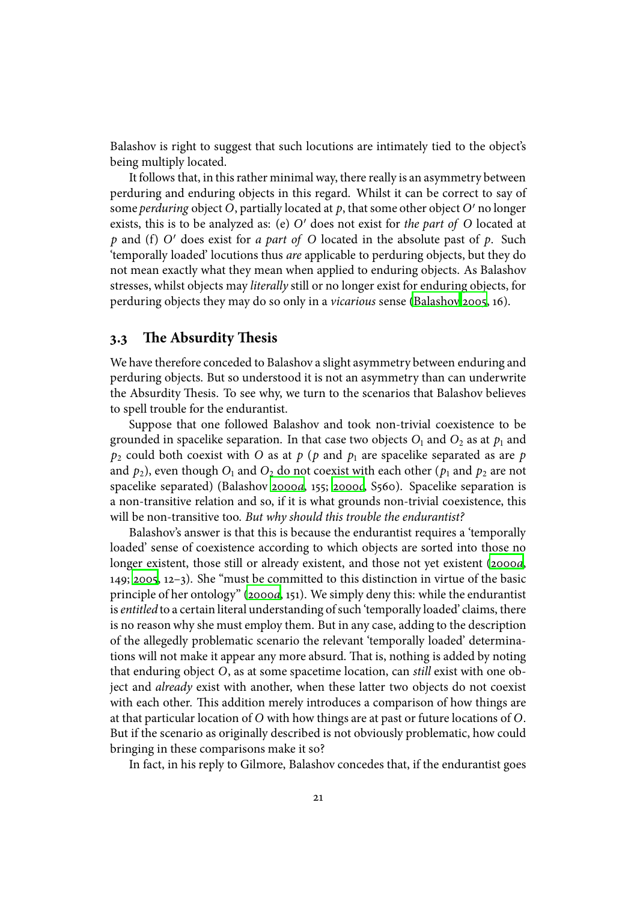Balashov is right to suggest that such locutions are intimately tied to the object's being multiply located.

It follows that, in this rather minimal way, there really is an asymmetry between perduring and enduring objects in this regard. Whilst it can be correct to say of some perduring object O, partially located at  $p$ , that some other object O' no longer exists, this is to be analyzed as: (e) O′ does not exist for the part of O located at  $p$  and (f) O' does exist for a part of O located in the absolute past of  $p$ . Such 'temporally loaded' locutions thus are applicable to perduring objects, but they do not mean exactly what they mean when applied to enduring objects. As Balashov stresses, whilst objects may literally still or no longer exist for enduring objects, for perduring objects they may do so only in a vicarious sense [\(Balashov 2005,](#page-42-10) 16).

#### **3.3** The Absurdity Thesis

We have therefore conceded to Balashov a slight asymmetry between enduring and perduring objects. But so understood it is not an asymmetry than can underwrite the Absurdity Thesis. To see why, we turn to the scenarios that Balashov believes to spell trouble for the endurantist.

Suppose that one followed Balashov and took non-trivial coexistence to be grounded in spacelike separation. In that case two objects  $O_1$  and  $O_2$  as at  $p_1$  and  $p_2$  could both coexist with O as at p (p and  $p_1$  are spacelike separated as are p and  $p_2$ ), even though  $O_1$  and  $O_2$  do not coexist with each other ( $p_1$  and  $p_2$  are not spacelike separated) (Balashov [2000](#page-42-8)a, 155; 2000c, S560). Spacelike separation is a non-transitive relation and so, if it is what grounds non-trivial coexistence, this will be non-transitive too. But why should this trouble the endurantist?

Balashov's answer is that this is because the endurantist requires a 'temporally loaded' sense of coexistence according to which objects are sorted into those no longer existent, those still or already existent, and those not yet existent [\(2000](#page-42-7)a, 149; [2005](#page-42-10), 12–3). She "must be committed to this distinction in virtue of the basic principle of her ontology" [\(2000](#page-42-7)a, 151). We simply deny this: while the endurantist is entitled to a certain literal understanding of such 'temporally loaded' claims, there is no reason why she must employ them. But in any case, adding to the description of the allegedly problematic scenario the relevant 'temporally loaded' determinations will not make it appear any more absurd. That is, nothing is added by noting that enduring object O, as at some spacetime location, can still exist with one object and already exist with another, when these latter two objects do not coexist with each other. This addition merely introduces a comparison of how things are at that particular location of O with how things are at past or future locations of O. But if the scenario as originally described is not obviously problematic, how could bringing in these comparisons make it so?

In fact, in his reply to Gilmore, Balashov concedes that, if the endurantist goes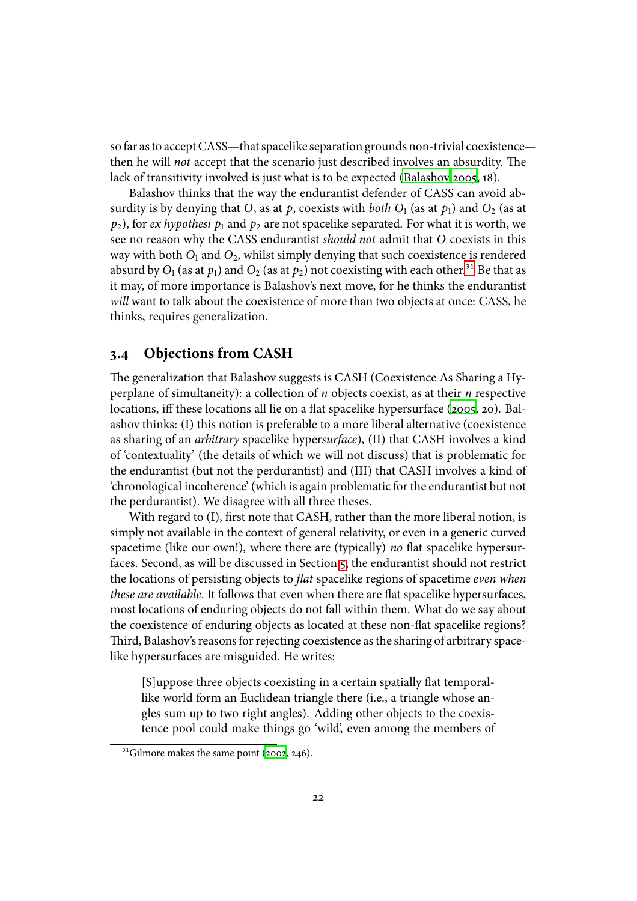so far as to accept CASS—that spacelike separation grounds non-trivial coexistence then he will *not* accept that the scenario just described involves an absurdity. The lack of transitivity involved is just what is to be expected [\(Balashov 2005](#page-42-10), 18).

Balashov thinks that the way the endurantist defender of CASS can avoid absurdity is by denying that O, as at p, coexists with both  $O_1$  (as at  $p_1$ ) and  $O_2$  (as at  $p_2$ ), for *ex hypothesi*  $p_1$  and  $p_2$  are not spacelike separated. For what it is worth, we see no reason why the CASS endurantist should not admit that O coexists in this way with both  $O_1$  and  $O_2$ , whilst simply denying that such coexistence is rendered absurd by  $O_1$  (as at  $p_1$ ) and  $O_2$  (as at  $p_2$ ) not coexisting with each other.<sup>[31](#page-21-0)</sup> Be that as it may, of more importance is Balashov's next move, for he thinks the endurantist will want to talk about the coexistence of more than two objects at once: CASS, he thinks, requires generalization.

#### **3.4 Objections from CASH**

The generalization that Balashov suggests is CASH (Coexistence As Sharing a Hyperplane of simultaneity): a collection of  $n$  objects coexist, as at their  $n$  respective locations, iff these locations all lie on a flat spacelike hypersurface [\(2005](#page-42-10), 20). Balashov thinks: (I) this notion is preferable to a more liberal alternative (coexistence as sharing of an arbitrary spacelike hypersurface), (II) that CASH involves a kind of 'contextuality' (the details of which we will not discuss) that is problematic for the endurantist (but not the perdurantist) and (III) that CASH involves a kind of 'chronological incoherence' (which is again problematic for the endurantist but not the perdurantist). We disagree with all three theses.

With regard to (I), first note that CASH, rather than the more liberal notion, is simply not available in the context of general relativity, or even in a generic curved spacetime (like our own!), where there are (typically) no flat spacelike hypersurfaces. Second, as will be discussed in Section [5,](#page-27-0) the endurantist should not restrict the locations of persisting objects to *flat* spacelike regions of spacetime even when these are available. It follows that even when there are flat spacelike hypersurfaces, most locations of enduring objects do not fall within them. What do we say about the coexistence of enduring objects as located at these non-flat spacelike regions? Third, Balashov's reasons for rejecting coexistence as the sharing of arbitrary spacelike hypersurfaces are misguided. He writes:

[S]uppose three objects coexisting in a certain spatially flat temporallike world form an Euclidean triangle there (i.e., a triangle whose angles sum up to two right angles). Adding other objects to the coexistence pool could make things go 'wild', even among the members of

<span id="page-21-0"></span><sup>&</sup>lt;sup>31</sup>Gilmore makes the same point [\(2002](#page-42-9), 246).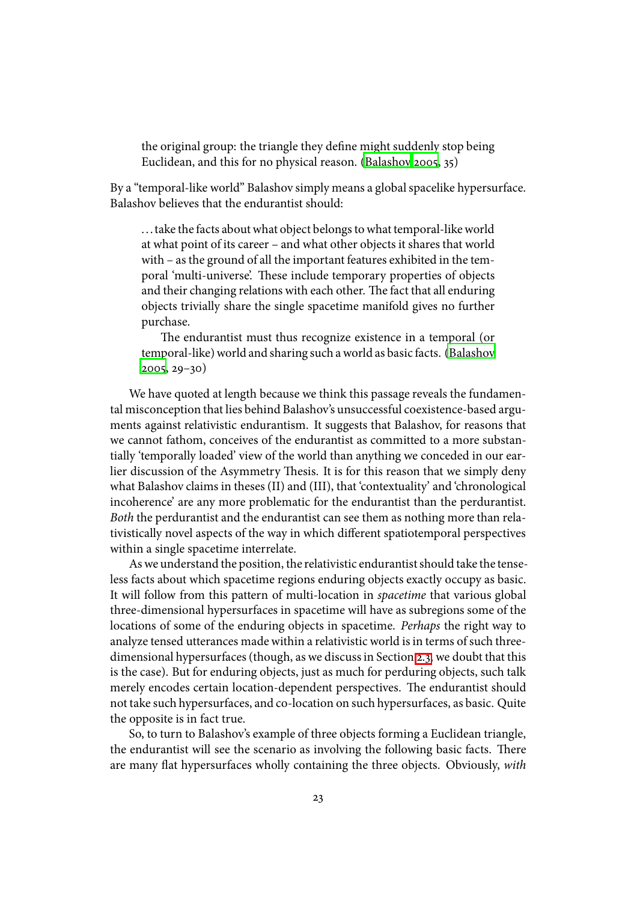the original group: the triangle they define might suddenly stop being Euclidean, and this for no physical reason. [\(Balashov 2005](#page-42-10), 35)

By a "temporal-like world" Balashov simply means a global spacelike hypersurface. Balashov believes that the endurantist should:

... take the facts about what object belongs to what temporal-like world at what point of its career – and what other objects it shares that world with – as the ground of all the important features exhibited in the temporal 'multi-universe'. These include temporary properties of objects and their changing relations with each other. The fact that all enduring objects trivially share the single spacetime manifold gives no further purchase.

The endurantist must thus recognize existence in a temporal (or temporal-like) world and sharing such a world as basic facts. [\(Balashov](#page-42-10) [2005,](#page-42-10) 29–30)

We have quoted at length because we think this passage reveals the fundamental misconception that lies behind Balashov's unsuccessful coexistence-based arguments against relativistic endurantism. It suggests that Balashov, for reasons that we cannot fathom, conceives of the endurantist as committed to a more substantially 'temporally loaded' view of the world than anything we conceded in our earlier discussion of the Asymmetry Thesis. It is for this reason that we simply deny what Balashov claims in theses (II) and (III), that 'contextuality' and 'chronological incoherence' are any more problematic for the endurantist than the perdurantist. Both the perdurantist and the endurantist can see them as nothing more than relativistically novel aspects of the way in which different spatiotemporal perspectives within a single spacetime interrelate.

As we understand the position, the relativistic endurantist should take the tenseless facts about which spacetime regions enduring objects exactly occupy as basic. It will follow from this pattern of multi-location in spacetime that various global three-dimensional hypersurfaces in spacetime will have as subregions some of the locations of some of the enduring objects in spacetime. Perhaps the right way to analyze tensed utterances made within a relativistic world is in terms of such threedimensional hypersurfaces (though, as we discuss in Section [2.3,](#page-10-1) we doubt that this is the case). But for enduring objects, just as much for perduring objects, such talk merely encodes certain location-dependent perspectives. The endurantist should not take such hypersurfaces, and co-location on such hypersurfaces, as basic. Quite the opposite is in fact true.

So, to turn to Balashov's example of three objects forming a Euclidean triangle, the endurantist will see the scenario as involving the following basic facts. There are many flat hypersurfaces wholly containing the three objects. Obviously, with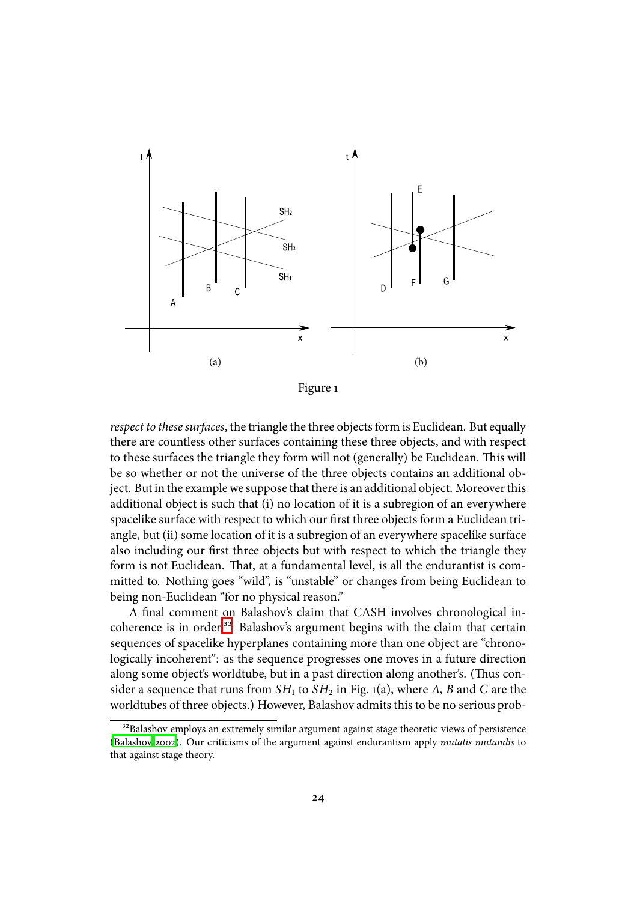

Figure 1

respect to these surfaces, the triangle the three objects form is Euclidean. But equally there are countless other surfaces containing these three objects, and with respect to these surfaces the triangle they form will not (generally) be Euclidean. This will be so whether or not the universe of the three objects contains an additional object. But in the example we suppose that there is an additional object. Moreover this additional object is such that (i) no location of it is a subregion of an everywhere spacelike surface with respect to which our first three objects form a Euclidean triangle, but (ii) some location of it is a subregion of an everywhere spacelike surface also including our first three objects but with respect to which the triangle they form is not Euclidean. That, at a fundamental level, is all the endurantist is committed to. Nothing goes "wild", is "unstable" or changes from being Euclidean to being non-Euclidean "for no physical reason."

A final comment on Balashov's claim that CASH involves chronological in-coherence is in order.<sup>[32](#page-23-0)</sup> Balashov's argument begins with the claim that certain sequences of spacelike hyperplanes containing more than one object are "chronologically incoherent": as the sequence progresses one moves in a future direction along some object's worldtube, but in a past direction along another's. (Thus consider a sequence that runs from  $SH_1$  to  $SH_2$  in Fig. 1(a), where A, B and C are the worldtubes of three objects.) However, Balashov admits this to be no serious prob-

<span id="page-23-0"></span><sup>&</sup>lt;sup>32</sup>Balashov employs an extremely similar argument against stage theoretic views of persistence [\(Balashov 2002](#page-42-11)). Our criticisms of the argument against endurantism apply mutatis mutandis to that against stage theory.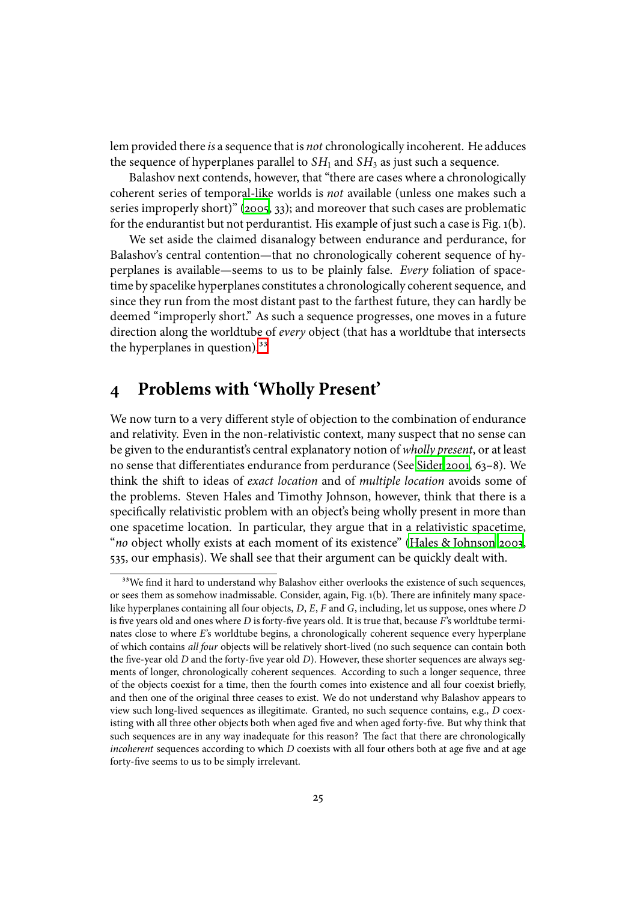lem provided there is a sequence that is not chronologically incoherent. He adduces the sequence of hyperplanes parallel to  $SH_1$  and  $SH_3$  as just such a sequence.

Balashov next contends, however, that "there are cases where a chronologically coherent series of temporal-like worlds is not available (unless one makes such a series improperly short)" [\(2005](#page-42-10), 33); and moreover that such cases are problematic for the endurantist but not perdurantist. His example of just such a case is Fig. 1(b).

We set aside the claimed disanalogy between endurance and perdurance, for Balashov's central contention—that no chronologically coherent sequence of hyperplanes is available—seems to us to be plainly false. Every foliation of spacetime by spacelike hyperplanes constitutes a chronologically coherent sequence, and since they run from the most distant past to the farthest future, they can hardly be deemed "improperly short." As such a sequence progresses, one moves in a future direction along the worldtube of *every* object (that has a worldtube that intersects the hyperplanes in question).<sup>[33](#page-24-1)</sup>

## <span id="page-24-0"></span>**4 Problems with 'Wholly Present'**

We now turn to a very different style of objection to the combination of endurance and relativity. Even in the non-relativistic context, many suspect that no sense can be given to the endurantist's central explanatory notion of wholly present, or at least no sense that differentiates endurance from perdurance (See [Sider 2001](#page-43-6), 63–8). We think the shift to ideas of exact location and of multiple location avoids some of the problems. Steven Hales and Timothy Johnson, however, think that there is a specifically relativistic problem with an object's being wholly present in more than one spacetime location. In particular, they argue that in a relativistic spacetime, "no object wholly exists at each moment of its existence" (Hales [& Johnson 2003,](#page-42-12) 535, our emphasis). We shall see that their argument can be quickly dealt with.

<span id="page-24-1"></span><sup>&</sup>lt;sup>33</sup>We find it hard to understand why Balashov either overlooks the existence of such sequences, or sees them as somehow inadmissable. Consider, again, Fig. 1(b). There are infinitely many spacelike hyperplanes containing all four objects,  $D$ ,  $E$ ,  $F$  and  $G$ , including, let us suppose, ones where  $D$ is five years old and ones where D is forty-five years old. It is true that, because F's worldtube terminates close to where E's worldtube begins, a chronologically coherent sequence every hyperplane of which contains all four objects will be relatively short-lived (no such sequence can contain both the five-year old D and the forty-five year old D). However, these shorter sequences are always segments of longer, chronologically coherent sequences. According to such a longer sequence, three of the objects coexist for a time, then the fourth comes into existence and all four coexist briefly, and then one of the original three ceases to exist. We do not understand why Balashov appears to view such long-lived sequences as illegitimate. Granted, no such sequence contains, e.g., D coexisting with all three other objects both when aged five and when aged forty-five. But why think that such sequences are in any way inadequate for this reason? The fact that there are chronologically incoherent sequences according to which  $D$  coexists with all four others both at age five and at age forty-five seems to us to be simply irrelevant.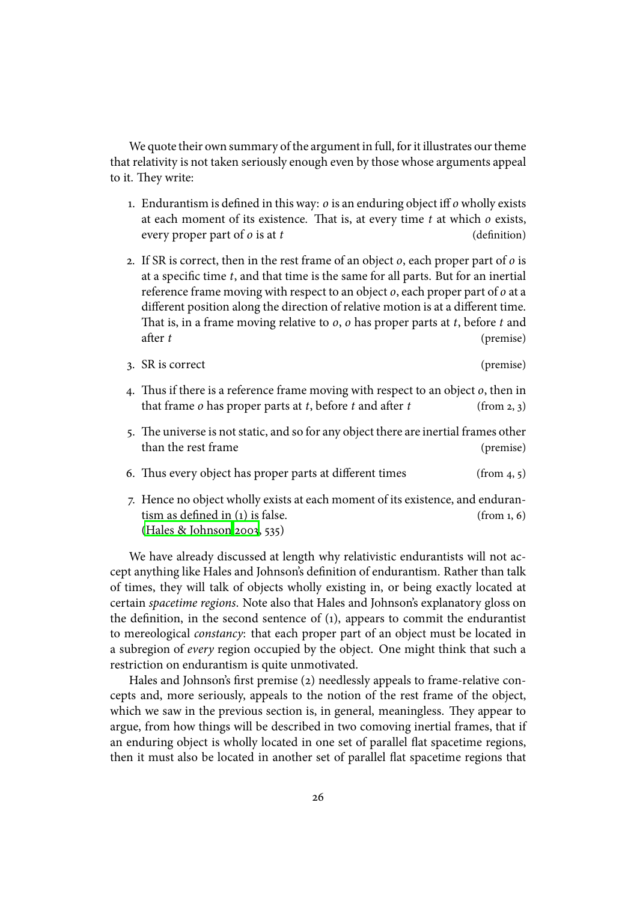We quote their own summary of the argument in full, for it illustrates our theme that relativity is not taken seriously enough even by those whose arguments appeal to it. They write:

- 1. Endurantism is defined in this way:  $o$  is an enduring object iff  $o$  wholly exists at each moment of its existence. That is, at every time  $t$  at which  $o$  exists, every proper part of  $o$  is at  $t$  (definition)
- 2. If SR is correct, then in the rest frame of an object  $o$ , each proper part of  $o$  is at a specific time  $t$ , and that time is the same for all parts. But for an inertial reference frame moving with respect to an object o, each proper part of o at a different position along the direction of relative motion is at a different time. That is, in a frame moving relative to  $o$ ,  $o$  has proper parts at t, before t and  $\text{after } t \qquad \qquad \text{(premise)}$

|  | 3. SR is correct | (premise) |
|--|------------------|-----------|
|--|------------------|-----------|

- 4. Thus if there is a reference frame moving with respect to an object  $o$ , then in that frame  $o$  has proper parts at  $t$ , before  $t$  and after  $t$  (from 2, 3)
- 5. The universe is not static, and so for any object there are inertial frames other than the rest frame (premise)
- 6. Thus every object has proper parts at different times  $(from 4, 5)$
- 7. Hence no object wholly exists at each moment of its existence, and enduran $tism$  as defined in (1) is false. (from 1, 6) [\(Hales & Johnson 2003,](#page-42-12) 535)

We have already discussed at length why relativistic endurantists will not accept anything like Hales and Johnson's definition of endurantism. Rather than talk of times, they will talk of objects wholly existing in, or being exactly located at certain spacetime regions. Note also that Hales and Johnson's explanatory gloss on the definition, in the second sentence of  $(1)$ , appears to commit the endurantist to mereological constancy: that each proper part of an object must be located in a subregion of every region occupied by the object. One might think that such a restriction on endurantism is quite unmotivated.

Hales and Johnson's first premise (2) needlessly appeals to frame-relative concepts and, more seriously, appeals to the notion of the rest frame of the object, which we saw in the previous section is, in general, meaningless. They appear to argue, from how things will be described in two comoving inertial frames, that if an enduring object is wholly located in one set of parallel flat spacetime regions, then it must also be located in another set of parallel flat spacetime regions that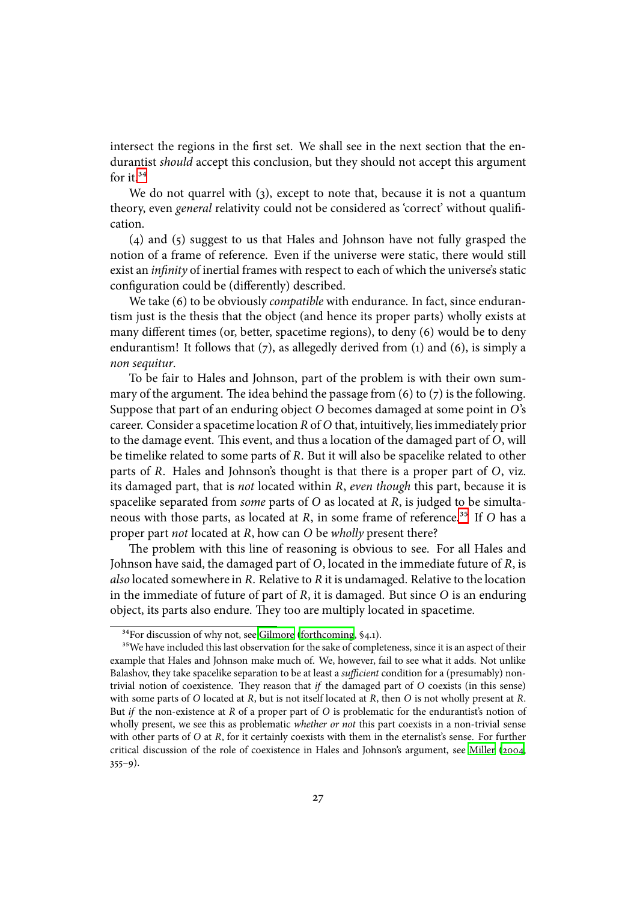intersect the regions in the first set. We shall see in the next section that the endurantist should accept this conclusion, but they should not accept this argument for it.  $34$ 

We do not quarrel with (3), except to note that, because it is not a quantum theory, even general relativity could not be considered as 'correct' without qualification.

(4) and (5) suggest to us that Hales and Johnson have not fully grasped the notion of a frame of reference. Even if the universe were static, there would still exist an infinity of inertial frames with respect to each of which the universe's static configuration could be (differently) described.

We take (6) to be obviously *compatible* with endurance. In fact, since endurantism just is the thesis that the object (and hence its proper parts) wholly exists at many different times (or, better, spacetime regions), to deny  $(6)$  would be to deny endurantism! It follows that (7), as allegedly derived from (1) and (6), is simply a non sequitur.

To be fair to Hales and Johnson, part of the problem is with their own summary of the argument. The idea behind the passage from  $(6)$  to  $(7)$  is the following. Suppose that part of an enduring object O becomes damaged at some point in O's career. Consider a spacetime location R of O that, intuitively, lies immediately prior to the damage event. This event, and thus a location of the damaged part of  $O$ , will be timelike related to some parts of R. But it will also be spacelike related to other parts of R. Hales and Johnson's thought is that there is a proper part of O, viz. its damaged part, that is not located within R, even though this part, because it is spacelike separated from *some* parts of  $O$  as located at  $R$ , is judged to be simultaneous with those parts, as located at  $R$ , in some frame of reference.<sup>[35](#page-26-1)</sup> If O has a proper part not located at R, how can O be wholly present there?

The problem with this line of reasoning is obvious to see. For all Hales and Johnson have said, the damaged part of O, located in the immediate future of R, is also located somewhere in  $R$ . Relative to  $R$  it is undamaged. Relative to the location in the immediate of future of part of  $R$ , it is damaged. But since  $O$  is an enduring object, its parts also endure. They too are multiply located in spacetime.

<sup>34</sup>For discussion of why not, see [Gilmore](#page-42-0) [\(forthcoming,](#page-42-0) §4.1).

<span id="page-26-1"></span><span id="page-26-0"></span><sup>&</sup>lt;sup>35</sup>We have included this last observation for the sake of completeness, since it is an aspect of their example that Hales and Johnson make much of. We, however, fail to see what it adds. Not unlike Balashov, they take spacelike separation to be at least a *sufficient* condition for a (presumably) nontrivial notion of coexistence. They reason that if the damaged part of  $O$  coexists (in this sense) with some parts of O located at  $R$ , but is not itself located at  $R$ , then  $O$  is not wholly present at  $R$ . But *if* the non-existence at R of a proper part of O is problematic for the endurantist's notion of wholly present, we see this as problematic whether or not this part coexists in a non-trivial sense with other parts of O at R, for it certainly coexists with them in the eternalist's sense. For further critical discussion of the role of coexistence in Hales and Johnson's argument, see [Miller](#page-43-11) [\(2004](#page-43-11),  $355-9$ ).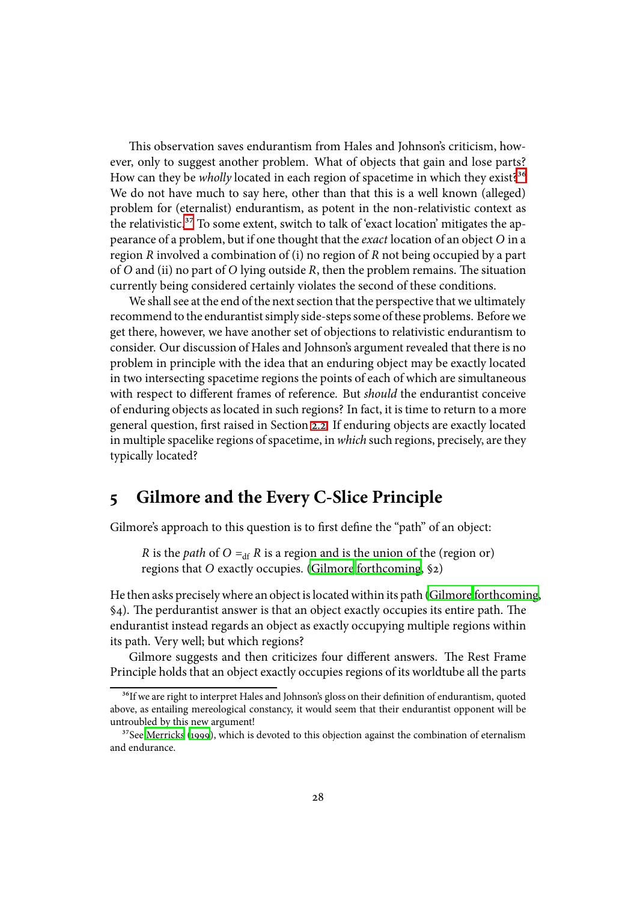This observation saves endurantism from Hales and Johnson's criticism, however, only to suggest another problem. What of objects that gain and lose parts? How can they be *wholly* located in each region of spacetime in which they exist?<sup>[36](#page-27-1)</sup> We do not have much to say here, other than that this is a well known (alleged) problem for (eternalist) endurantism, as potent in the non-relativistic context as the relativistic.<sup>[37](#page-27-2)</sup> To some extent, switch to talk of 'exact location' mitigates the appearance of a problem, but if one thought that the exact location of an object O in a region R involved a combination of (i) no region of R not being occupied by a part of O and (ii) no part of O lying outside  $R$ , then the problem remains. The situation currently being considered certainly violates the second of these conditions.

We shall see at the end of the next section that the perspective that we ultimately recommend to the endurantist simply side-steps some of these problems. Before we get there, however, we have another set of objections to relativistic endurantism to consider. Our discussion of Hales and Johnson's argument revealed that there is no problem in principle with the idea that an enduring object may be exactly located in two intersecting spacetime regions the points of each of which are simultaneous with respect to different frames of reference. But should the endurantist conceive of enduring objects as located in such regions? In fact, it is time to return to a more general question, first raised in Section [2.2.](#page-8-2) If enduring objects are exactly located in multiple spacelike regions of spacetime, in which such regions, precisely, are they typically located?

## <span id="page-27-0"></span>**5 Gilmore and the Every C-Slice Principle**

Gilmore's approach to this question is to first define the "path" of an object:

R is the *path* of O = $_{df}$  R is a region and is the union of the (region or) regions that O exactly occupies. [\(Gilmore forthcoming](#page-42-0), §2)

He then asks precisely where an object is located within its path [\(Gilmore forthcoming,](#page-42-0) §4). The perdurantist answer is that an object exactly occupies its entire path. The endurantist instead regards an object as exactly occupying multiple regions within its path. Very well; but which regions?

Gilmore suggests and then criticizes four different answers. The Rest Frame Principle holds that an object exactly occupies regions of its worldtube all the parts

<span id="page-27-1"></span><sup>&</sup>lt;sup>36</sup>If we are right to interpret Hales and Johnson's gloss on their definition of endurantism, quoted above, as entailing mereological constancy, it would seem that their endurantist opponent will be untroubled by this new argument!

<span id="page-27-2"></span> $37$ See [Merricks](#page-43-12) [\(1999](#page-43-12)), which is devoted to this objection against the combination of eternalism and endurance.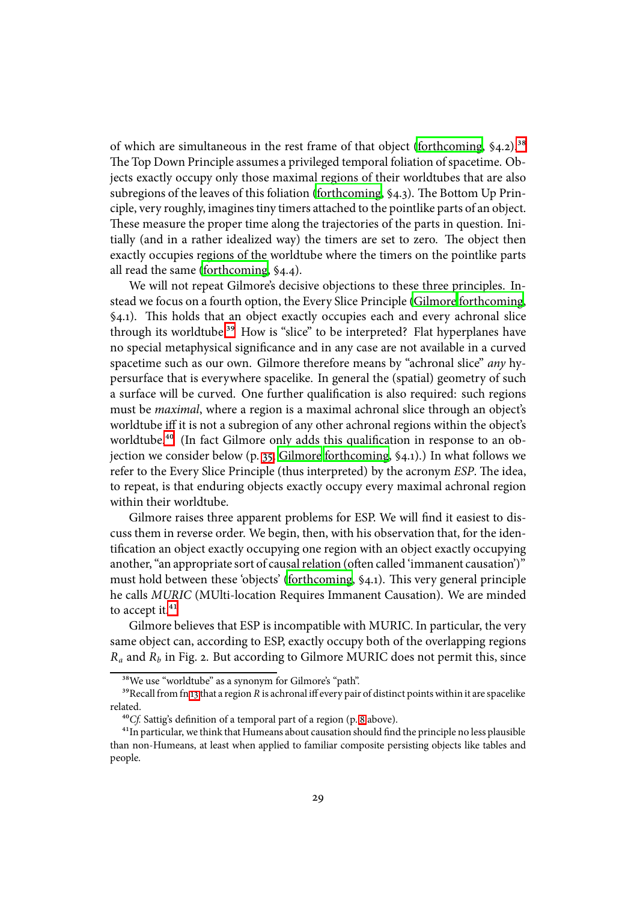of which are simultaneous in the rest frame of that object [\(forthcoming](#page-42-0),  $\S$ 4.2).<sup>[38](#page-28-0)</sup> The Top Down Principle assumes a privileged temporal foliation of spacetime. Objects exactly occupy only those maximal regions of their worldtubes that are also subregions of the leaves of this foliation [\(forthcoming](#page-42-0),  $\S$ 4.3). The Bottom Up Principle, very roughly, imagines tiny timers attached to the pointlike parts of an object. These measure the proper time along the trajectories of the parts in question. Initially (and in a rather idealized way) the timers are set to zero. The object then exactly occupies regions of the worldtube where the timers on the pointlike parts all read the same [\(forthcoming,](#page-42-0) §4.4).

We will not repeat Gilmore's decisive objections to these three principles. Instead we focus on a fourth option, the Every Slice Principle [\(Gilmore forthcoming,](#page-42-0) §4.1). This holds that an object exactly occupies each and every achronal slice through its worldtube.<sup>[39](#page-28-1)</sup> How is "slice" to be interpreted? Flat hyperplanes have no special metaphysical significance and in any case are not available in a curved spacetime such as our own. Gilmore therefore means by "achronal slice" any hypersurface that is everywhere spacelike. In general the (spatial) geometry of such a surface will be curved. One further qualification is also required: such regions must be maximal, where a region is a maximal achronal slice through an object's worldtube iff it is not a subregion of any other achronal regions within the object's worldtube.<sup>[40](#page-28-2)</sup> (In fact Gilmore only adds this qualification in response to an objection we consider below (p. [35;](#page-34-0) [Gilmore forthcoming](#page-42-0), §4.1).) In what follows we refer to the Every Slice Principle (thus interpreted) by the acronym ESP. The idea, to repeat, is that enduring objects exactly occupy every maximal achronal region within their worldtube.

Gilmore raises three apparent problems for ESP. We will find it easiest to discuss them in reverse order. We begin, then, with his observation that, for the identification an object exactly occupying one region with an object exactly occupying another, "an appropriate sort of causal relation (often called 'immanent causation')" must hold between these 'objects' [\(forthcoming](#page-42-0),  $\S$ 4.1). This very general principle he calls MURIC (MUlti-location Requires Immanent Causation). We are minded to accept it.<sup>[41](#page-28-3)</sup>

Gilmore believes that ESP is incompatible with MURIC. In particular, the very same object can, according to ESP, exactly occupy both of the overlapping regions  $R_a$  and  $R_b$  in Fig. 2. But according to Gilmore MURIC does not permit this, since

<sup>38</sup>We use "worldtube" as a synonym for Gilmore's "path".

<span id="page-28-1"></span><span id="page-28-0"></span><sup>&</sup>lt;sup>39</sup>Recall from fn [13](#page-7-1) that a region R is achronal iff every pair of distinct points within it are spacelike related.

 $^{40}$ Cf. Sattig's definition of a temporal part of a region (p. [8](#page-4-0) above).

<span id="page-28-3"></span><span id="page-28-2"></span><sup>&</sup>lt;sup>41</sup>In particular, we think that Humeans about causation should find the principle no less plausible than non-Humeans, at least when applied to familiar composite persisting objects like tables and people.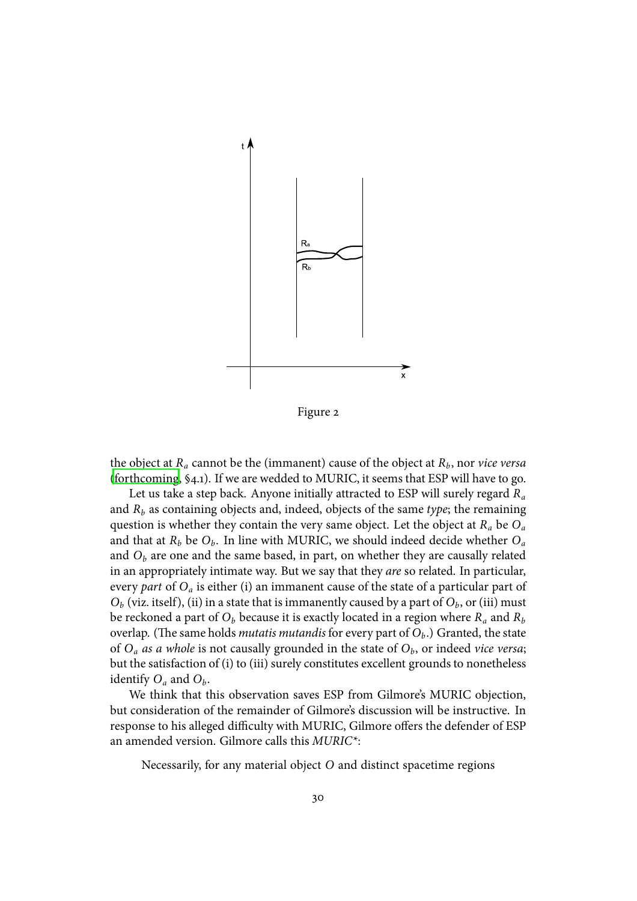

Figure 2

the object at  $R_a$  cannot be the (immanent) cause of the object at  $R_b$ , nor vice versa [\(forthcoming](#page-42-0), §4.1). If we are wedded to MURIC, it seems that ESP will have to go.

Let us take a step back. Anyone initially attracted to ESP will surely regard  $R_a$ and  $R_b$  as containing objects and, indeed, objects of the same type; the remaining question is whether they contain the very same object. Let the object at  $R_a$  be  $O_a$ and that at  $R_b$  be  $O_b$ . In line with MURIC, we should indeed decide whether  $O_a$ and  $O<sub>b</sub>$  are one and the same based, in part, on whether they are causally related in an appropriately intimate way. But we say that they are so related. In particular, every part of  $O_a$  is either (i) an immanent cause of the state of a particular part of  $O_b$  (viz. itself), (ii) in a state that is immanently caused by a part of  $O_b$ , or (iii) must be reckoned a part of  $O_b$  because it is exactly located in a region where  $R_a$  and  $R_b$ overlap. (The same holds *mutatis mutandis* for every part of  $O_b$ .) Granted, the state of  $O_a$  as a whole is not causally grounded in the state of  $O_b$ , or indeed vice versa; but the satisfaction of (i) to (iii) surely constitutes excellent grounds to nonetheless identify  $O_a$  and  $O_b$ .

We think that this observation saves ESP from Gilmore's MURIC objection, but consideration of the remainder of Gilmore's discussion will be instructive. In response to his alleged difficulty with MURIC, Gilmore offers the defender of ESP an amended version. Gilmore calls this MURIC\*:

Necessarily, for any material object O and distinct spacetime regions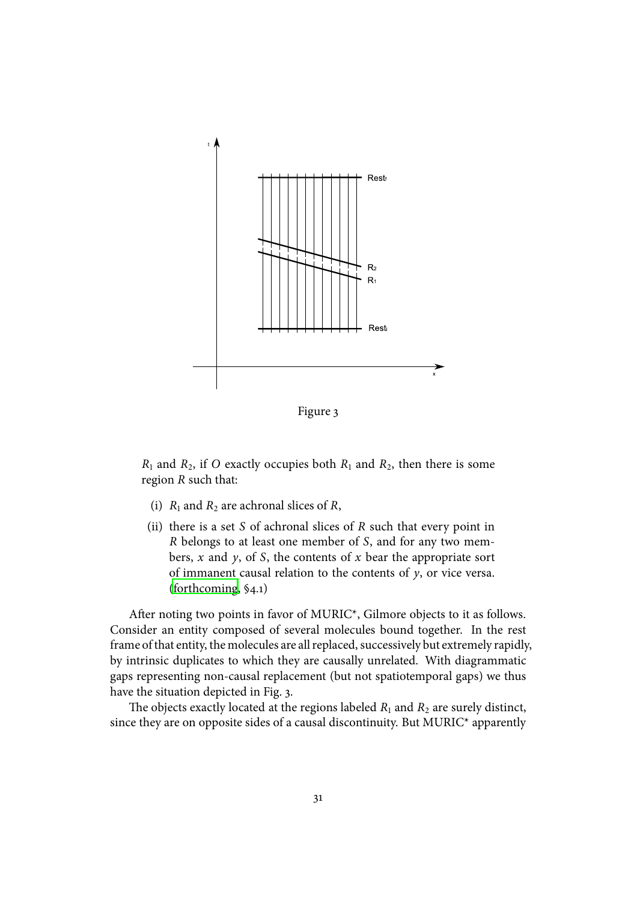

Figure 3

 $R_1$  and  $R_2$ , if O exactly occupies both  $R_1$  and  $R_2$ , then there is some region R such that:

- (i)  $R_1$  and  $R_2$  are achronal slices of R,
- (ii) there is a set S of achronal slices of  $R$  such that every point in R belongs to at least one member of S, and for any two members, x and y, of S, the contents of x bear the appropriate sort of immanent causal relation to the contents of  $y$ , or vice versa. [\(forthcoming](#page-42-0), §4.1)

After noting two points in favor of MURIC<sup>\*</sup>, Gilmore objects to it as follows. Consider an entity composed of several molecules bound together. In the rest frame of that entity, the molecules are all replaced, successively but extremely rapidly, by intrinsic duplicates to which they are causally unrelated. With diagrammatic gaps representing non-causal replacement (but not spatiotemporal gaps) we thus have the situation depicted in Fig. 3.

The objects exactly located at the regions labeled  $R_1$  and  $R_2$  are surely distinct, since they are on opposite sides of a causal discontinuity. But MURIC\* apparently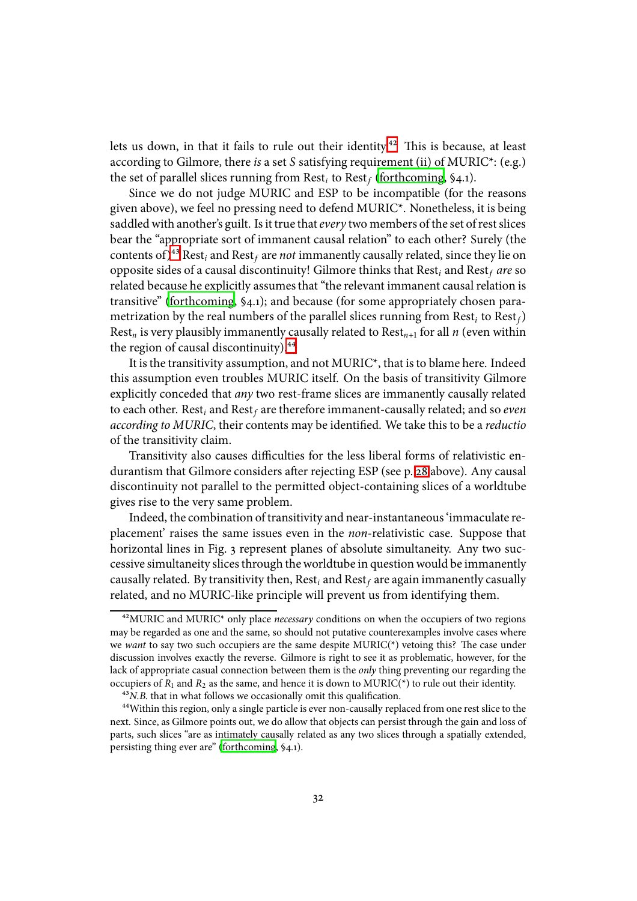lets us down, in that it fails to rule out their identity.<sup>[42](#page-31-0)</sup> This is because, at least according to Gilmore, there is a set S satisfying requirement (ii) of MURIC\*: (e.g.) the set of parallel slices running from Rest<sub>i</sub> to Rest<sub>f</sub> [\(forthcoming,](#page-42-0) §4.1).

Since we do not judge MURIC and ESP to be incompatible (for the reasons given above), we feel no pressing need to defend MURIC\*. Nonetheless, it is being saddled with another's guilt. Is it true that every two members of the set of rest slices bear the "appropriate sort of immanent causal relation" to each other? Surely (the contents of)<sup>[43](#page-31-1)</sup> Rest<sub>i</sub> and Rest<sub>f</sub> are *not* immanently causally related, since they lie on opposite sides of a causal discontinuity! Gilmore thinks that  $\text{Rest}_i$  and  $\text{Rest}_f$  are so related because he explicitly assumes that "the relevant immanent causal relation is transitive" [\(forthcoming,](#page-42-0) §4.1); and because (for some appropriately chosen parametrization by the real numbers of the parallel slices running from  $\text{Rest}_i$  to  $\text{Rest}_f$ ) Rest $_n$  is very plausibly immanently causally related to  $\mathrm{Rest}_{n+1}$  for all  $n$  (even within the region of causal discontinuity).<sup>[44](#page-31-2)</sup>

It is the transitivity assumption, and not MURIC\*, that is to blame here. Indeed this assumption even troubles MURIC itself. On the basis of transitivity Gilmore explicitly conceded that any two rest-frame slices are immanently causally related to each other. Rest<sub>i</sub> and Rest<sub>f</sub> are therefore immanent-causally related; and so even according to MURIC, their contents may be identified. We take this to be a reductio of the transitivity claim.

Transitivity also causes difficulties for the less liberal forms of relativistic en-durantism that Gilmore considers after rejecting ESP (see p. [28](#page-27-0) above). Any causal discontinuity not parallel to the permitted object-containing slices of a worldtube gives rise to the very same problem.

Indeed, the combination of transitivity and near-instantaneous 'immaculate replacement' raises the same issues even in the non-relativistic case. Suppose that horizontal lines in Fig. 3 represent planes of absolute simultaneity. Any two successive simultaneity slices through the worldtube in question would be immanently causally related. By transitivity then, Rest<sub>i</sub> and Rest<sub>f</sub> are again immanently casually related, and no MURIC-like principle will prevent us from identifying them.

<span id="page-31-0"></span><sup>&</sup>lt;sup>42</sup>MURIC and MURIC<sup>\*</sup> only place *necessary* conditions on when the occupiers of two regions may be regarded as one and the same, so should not putative counterexamples involve cases where we want to say two such occupiers are the same despite  $MURIC$ <sup>(\*)</sup> vetoing this? The case under discussion involves exactly the reverse. Gilmore is right to see it as problematic, however, for the lack of appropriate casual connection between them is the *only* thing preventing our regarding the occupiers of  $R_1$  and  $R_2$  as the same, and hence it is down to MURIC(\*) to rule out their identity.

 $43$ N.B. that in what follows we occasionally omit this qualification.

<span id="page-31-2"></span><span id="page-31-1"></span><sup>44</sup>Within this region, only a single particle is ever non-causally replaced from one rest slice to the next. Since, as Gilmore points out, we do allow that objects can persist through the gain and loss of parts, such slices "are as intimately causally related as any two slices through a spatially extended, persisting thing ever are" [\(forthcoming,](#page-42-0) §4.1).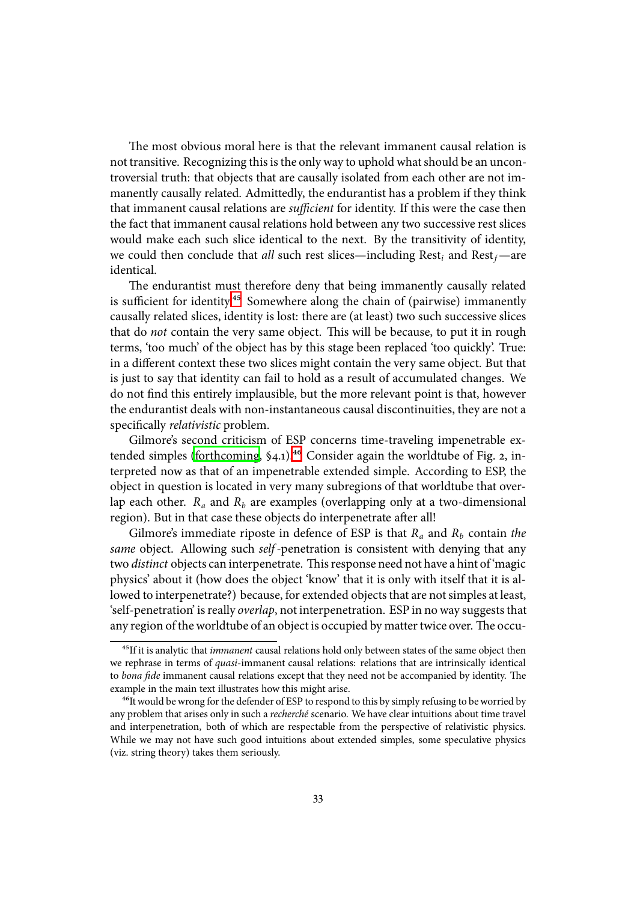The most obvious moral here is that the relevant immanent causal relation is not transitive. Recognizing this is the only way to uphold what should be an uncontroversial truth: that objects that are causally isolated from each other are not immanently causally related. Admittedly, the endurantist has a problem if they think that immanent causal relations are sufficient for identity. If this were the case then the fact that immanent causal relations hold between any two successive rest slices would make each such slice identical to the next. By the transitivity of identity, we could then conclude that all such rest slices—including  $\text{Rest}_i$  and  $\text{Rest}_f$ —are identical.

The endurantist must therefore deny that being immanently causally related is sufficient for identity.<sup>[45](#page-32-0)</sup> Somewhere along the chain of (pairwise) immanently causally related slices, identity is lost: there are (at least) two such successive slices that do *not* contain the very same object. This will be because, to put it in rough terms, 'too much' of the object has by this stage been replaced 'too quickly'. True: in a different context these two slices might contain the very same object. But that is just to say that identity can fail to hold as a result of accumulated changes. We do not find this entirely implausible, but the more relevant point is that, however the endurantist deals with non-instantaneous causal discontinuities, they are not a specifically relativistic problem.

Gilmore's second criticism of ESP concerns time-traveling impenetrable ex-tended simples [\(forthcoming](#page-42-0), §4.1).<sup>[46](#page-32-1)</sup> Consider again the worldtube of Fig. 2, interpreted now as that of an impenetrable extended simple. According to ESP, the object in question is located in very many subregions of that worldtube that overlap each other.  $R_a$  and  $R_b$  are examples (overlapping only at a two-dimensional region). But in that case these objects do interpenetrate after all!

Gilmore's immediate riposte in defence of ESP is that  $R_a$  and  $R_b$  contain the same object. Allowing such self-penetration is consistent with denying that any two *distinct* objects can interpenetrate. This response need not have a hint of 'magic physics' about it (how does the object 'know' that it is only with itself that it is allowed to interpenetrate?) because, for extended objects that are not simples at least, 'self-penetration' is really overlap, not interpenetration. ESP in no way suggests that any region of the worldtube of an object is occupied by matter twice over. The occu-

<span id="page-32-0"></span><sup>&</sup>lt;sup>45</sup>If it is analytic that *immanent* causal relations hold only between states of the same object then we rephrase in terms of *quasi*-immanent causal relations: relations that are intrinsically identical to bona fide immanent causal relations except that they need not be accompanied by identity. The example in the main text illustrates how this might arise.

<span id="page-32-1"></span><sup>&</sup>lt;sup>46</sup>It would be wrong for the defender of ESP to respond to this by simply refusing to be worried by any problem that arises only in such a recherché scenario. We have clear intuitions about time travel and interpenetration, both of which are respectable from the perspective of relativistic physics. While we may not have such good intuitions about extended simples, some speculative physics (viz. string theory) takes them seriously.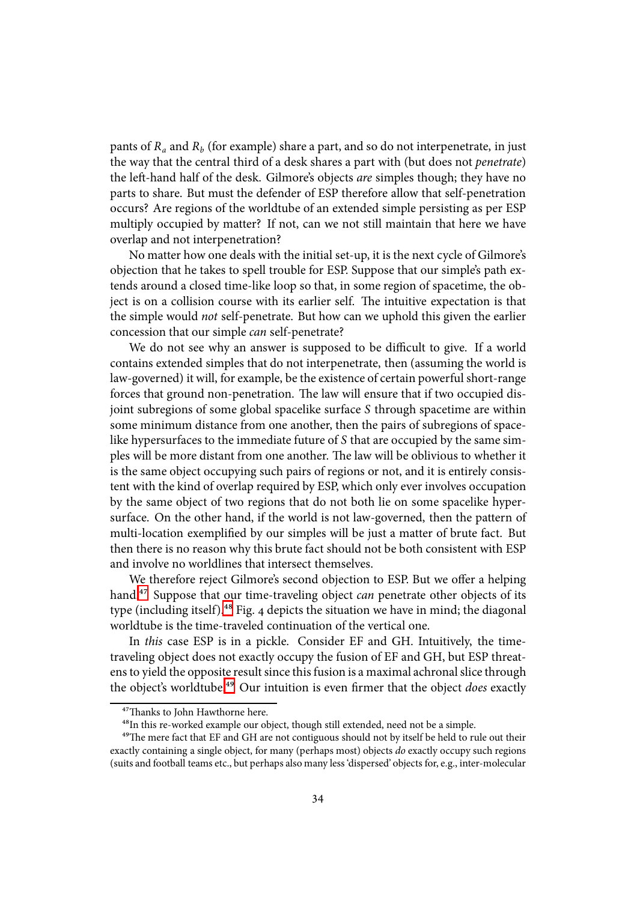pants of  $R_a$  and  $R_b$  (for example) share a part, and so do not interpenetrate, in just the way that the central third of a desk shares a part with (but does not penetrate) the left-hand half of the desk. Gilmore's objects are simples though; they have no parts to share. But must the defender of ESP therefore allow that self-penetration occurs? Are regions of the worldtube of an extended simple persisting as per ESP multiply occupied by matter? If not, can we not still maintain that here we have overlap and not interpenetration?

No matter how one deals with the initial set-up, it is the next cycle of Gilmore's objection that he takes to spell trouble for ESP. Suppose that our simple's path extends around a closed time-like loop so that, in some region of spacetime, the object is on a collision course with its earlier self. The intuitive expectation is that the simple would not self-penetrate. But how can we uphold this given the earlier concession that our simple can self-penetrate?

We do not see why an answer is supposed to be difficult to give. If a world contains extended simples that do not interpenetrate, then (assuming the world is law-governed) it will, for example, be the existence of certain powerful short-range forces that ground non-penetration. The law will ensure that if two occupied disjoint subregions of some global spacelike surface S through spacetime are within some minimum distance from one another, then the pairs of subregions of spacelike hypersurfaces to the immediate future of S that are occupied by the same simples will be more distant from one another. The law will be oblivious to whether it is the same object occupying such pairs of regions or not, and it is entirely consistent with the kind of overlap required by ESP, which only ever involves occupation by the same object of two regions that do not both lie on some spacelike hypersurface. On the other hand, if the world is not law-governed, then the pattern of multi-location exemplified by our simples will be just a matter of brute fact. But then there is no reason why this brute fact should not be both consistent with ESP and involve no worldlines that intersect themselves.

We therefore reject Gilmore's second objection to ESP. But we offer a helping hand.<sup>[47](#page-33-0)</sup> Suppose that our time-traveling object *can* penetrate other objects of its type (including itself). $48$  Fig. 4 depicts the situation we have in mind; the diagonal worldtube is the time-traveled continuation of the vertical one.

In this case ESP is in a pickle. Consider EF and GH. Intuitively, the timetraveling object does not exactly occupy the fusion of EF and GH, but ESP threatens to yield the opposite result since this fusion is a maximal achronal slice through the object's worldtube.<sup>[49](#page-33-2)</sup> Our intuition is even firmer that the object *does* exactly

<sup>&</sup>lt;sup>47</sup>Thanks to John Hawthorne here.

<sup>&</sup>lt;sup>48</sup>In this re-worked example our object, though still extended, need not be a simple.

<span id="page-33-2"></span><span id="page-33-1"></span><span id="page-33-0"></span><sup>&</sup>lt;sup>49</sup>The mere fact that EF and GH are not contiguous should not by itself be held to rule out their exactly containing a single object, for many (perhaps most) objects do exactly occupy such regions (suits and football teams etc., but perhaps also many less 'dispersed' objects for, e.g., inter-molecular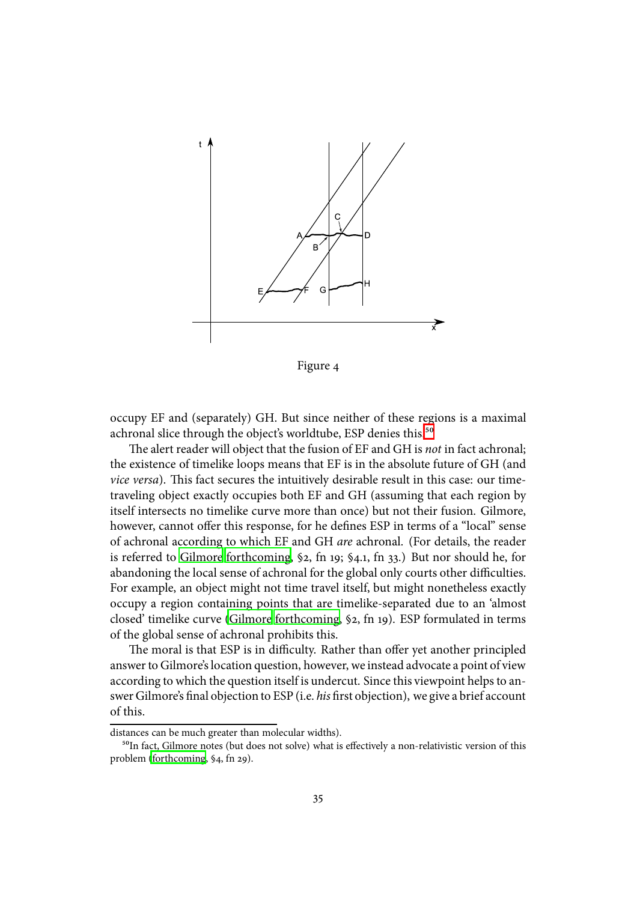

<span id="page-34-0"></span>Figure 4

occupy EF and (separately) GH. But since neither of these regions is a maximal achronal slice through the object's worldtube, ESP denies this.<sup>[50](#page-34-1)</sup>

The alert reader will object that the fusion of EF and GH is not in fact achronal; the existence of timelike loops means that EF is in the absolute future of GH (and vice versa). This fact secures the intuitively desirable result in this case: our timetraveling object exactly occupies both EF and GH (assuming that each region by itself intersects no timelike curve more than once) but not their fusion. Gilmore, however, cannot offer this response, for he defines ESP in terms of a "local" sense of achronal according to which EF and GH are achronal. (For details, the reader is referred to [Gilmore forthcoming](#page-42-0), §2, fn 19; §4.1, fn 33.) But nor should he, for abandoning the local sense of achronal for the global only courts other difficulties. For example, an object might not time travel itself, but might nonetheless exactly occupy a region containing points that are timelike-separated due to an 'almost closed' timelike curve [\(Gilmore forthcoming,](#page-42-0) §2, fn 19). ESP formulated in terms of the global sense of achronal prohibits this.

The moral is that ESP is in difficulty. Rather than offer yet another principled answer to Gilmore's location question, however, we instead advocate a point of view according to which the question itself is undercut. Since this viewpoint helps to answer Gilmore's final objection to ESP (i.e. his first objection), we give a brief account of this.

distances can be much greater than molecular widths).

<span id="page-34-1"></span><sup>&</sup>lt;sup>50</sup>In fact, Gilmore notes (but does not solve) what is effectively a non-relativistic version of this problem [\(forthcoming](#page-42-0), §4, fn 29).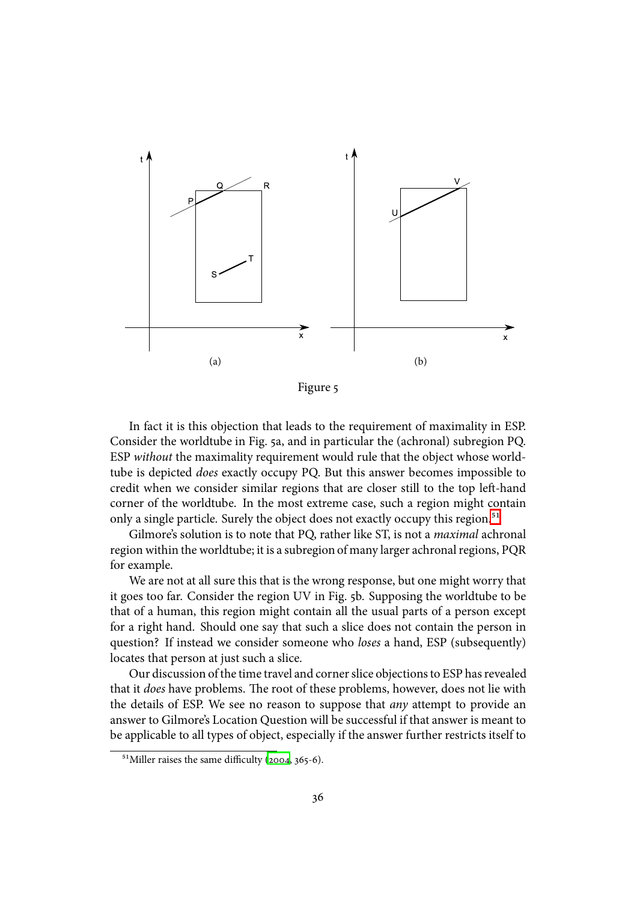

Figure 5

In fact it is this objection that leads to the requirement of maximality in ESP. Consider the worldtube in Fig. 5a, and in particular the (achronal) subregion PQ. ESP without the maximality requirement would rule that the object whose worldtube is depicted does exactly occupy PQ. But this answer becomes impossible to credit when we consider similar regions that are closer still to the top left-hand corner of the worldtube. In the most extreme case, such a region might contain only a single particle. Surely the object does not exactly occupy this region.<sup>[51](#page-35-0)</sup>

Gilmore's solution is to note that PQ, rather like ST, is not a maximal achronal region within the worldtube; it is a subregion of many larger achronal regions, PQR for example.

We are not at all sure this that is the wrong response, but one might worry that it goes too far. Consider the region UV in Fig. 5b. Supposing the worldtube to be that of a human, this region might contain all the usual parts of a person except for a right hand. Should one say that such a slice does not contain the person in question? If instead we consider someone who loses a hand, ESP (subsequently) locates that person at just such a slice.

Our discussion of the time travel and corner slice objections to ESP has revealed that it does have problems. The root of these problems, however, does not lie with the details of ESP. We see no reason to suppose that any attempt to provide an answer to Gilmore's Location Question will be successful if that answer is meant to be applicable to all types of object, especially if the answer further restricts itself to

<span id="page-35-0"></span> $51$ Miller raises the same difficulty [\(2004,](#page-43-11) 365-6).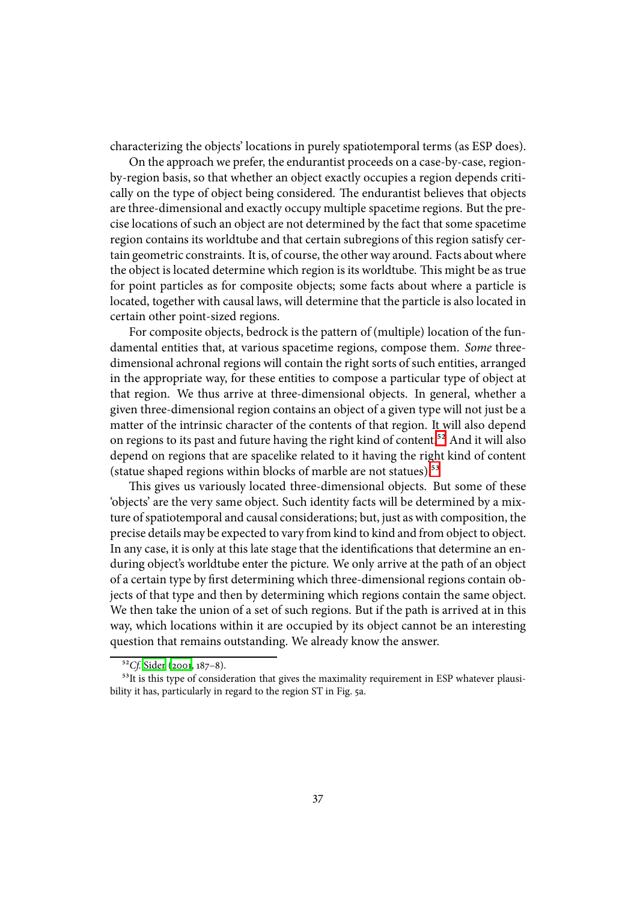characterizing the objects' locations in purely spatiotemporal terms (as ESP does).

On the approach we prefer, the endurantist proceeds on a case-by-case, regionby-region basis, so that whether an object exactly occupies a region depends critically on the type of object being considered. The endurantist believes that objects are three-dimensional and exactly occupy multiple spacetime regions. But the precise locations of such an object are not determined by the fact that some spacetime region contains its worldtube and that certain subregions of this region satisfy certain geometric constraints. It is, of course, the other way around. Facts about where the object is located determine which region is its worldtube. This might be as true for point particles as for composite objects; some facts about where a particle is located, together with causal laws, will determine that the particle is also located in certain other point-sized regions.

For composite objects, bedrock is the pattern of (multiple) location of the fundamental entities that, at various spacetime regions, compose them. Some threedimensional achronal regions will contain the right sorts of such entities, arranged in the appropriate way, for these entities to compose a particular type of object at that region. We thus arrive at three-dimensional objects. In general, whether a given three-dimensional region contains an object of a given type will not just be a matter of the intrinsic character of the contents of that region. It will also depend on regions to its past and future having the right kind of content.<sup>[52](#page-36-0)</sup> And it will also depend on regions that are spacelike related to it having the right kind of content (statue shaped regions within blocks of marble are not statues).[53](#page-36-1)

This gives us variously located three-dimensional objects. But some of these 'objects' are the very same object. Such identity facts will be determined by a mixture of spatiotemporal and causal considerations; but, just as with composition, the precise details may be expected to vary from kind to kind and from object to object. In any case, it is only at this late stage that the identifications that determine an enduring object's worldtube enter the picture. We only arrive at the path of an object of a certain type by first determining which three-dimensional regions contain objects of that type and then by determining which regions contain the same object. We then take the union of a set of such regions. But if the path is arrived at in this way, which locations within it are occupied by its object cannot be an interesting question that remains outstanding. We already know the answer.

<sup>52</sup>Cf. [Sider](#page-43-6) [\(2001,](#page-43-6) 187–8).

<span id="page-36-1"></span><span id="page-36-0"></span> $53$ It is this type of consideration that gives the maximality requirement in ESP whatever plausibility it has, particularly in regard to the region ST in Fig. 5a.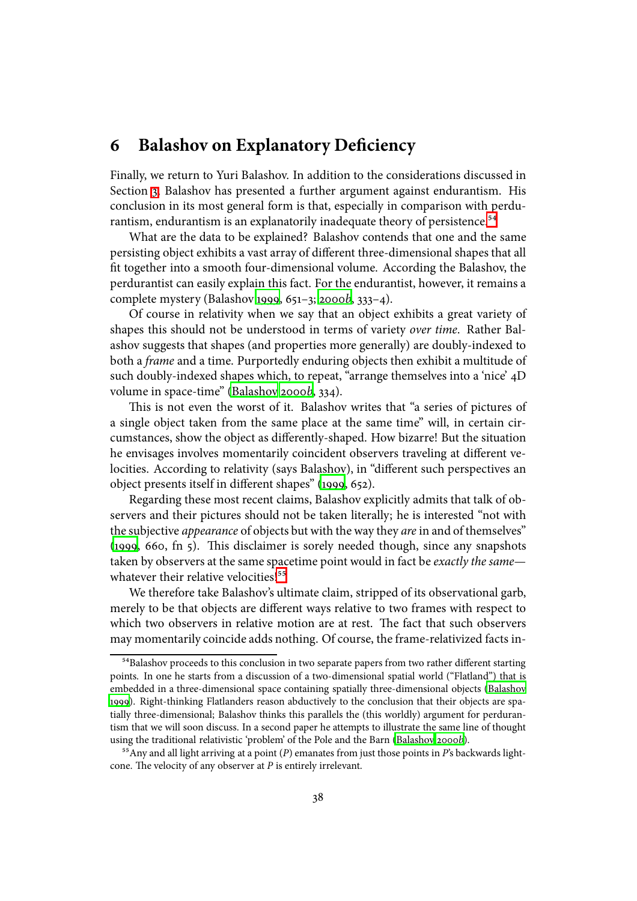### <span id="page-37-0"></span>**6 Balashov on Explanatory Deficiency**

Finally, we return to Yuri Balashov. In addition to the considerations discussed in Section [3,](#page-13-0) Balashov has presented a further argument against endurantism. His conclusion in its most general form is that, especially in comparison with perdu-rantism, endurantism is an explanatorily inadequate theory of persistence.<sup>[54](#page-37-1)</sup>

What are the data to be explained? Balashov contends that one and the same persisting object exhibits a vast array of different three-dimensional shapes that all fit together into a smooth four-dimensional volume. According the Balashov, the perdurantist can easily explain this fact. For the endurantist, however, it remains a complete mystery (Balashov [1999](#page-42-13), 651–3; [2000](#page-42-14)b, 333–4).

Of course in relativity when we say that an object exhibits a great variety of shapes this should not be understood in terms of variety over time. Rather Balashov suggests that shapes (and properties more generally) are doubly-indexed to both a frame and a time. Purportedly enduring objects then exhibit a multitude of such doubly-indexed shapes which, to repeat, "arrange themselves into a 'nice' 4D volume in space-time" [\(Balashov 2000](#page-42-14)b, 334).

This is not even the worst of it. Balashov writes that "a series of pictures of a single object taken from the same place at the same time" will, in certain circumstances, show the object as differently-shaped. How bizarre! But the situation he envisages involves momentarily coincident observers traveling at different velocities. According to relativity (says Balashov), in "different such perspectives an object presents itself in different shapes" [\(1999](#page-42-13), 652).

Regarding these most recent claims, Balashov explicitly admits that talk of observers and their pictures should not be taken literally; he is interested "not with the subjective *appearance* of objects but with the way they *are* in and of themselves"  $(1999, 660, \text{fn } 5)$  $(1999, 660, \text{fn } 5)$ . This disclaimer is sorely needed though, since any snapshots taken by observers at the same spacetime point would in fact be *exactly the same*— whatever their relative velocities!<sup>[55](#page-37-2)</sup>

We therefore take Balashov's ultimate claim, stripped of its observational garb, merely to be that objects are different ways relative to two frames with respect to which two observers in relative motion are at rest. The fact that such observers may momentarily coincide adds nothing. Of course, the frame-relativized facts in-

<span id="page-37-1"></span><sup>&</sup>lt;sup>54</sup>Balashov proceeds to this conclusion in two separate papers from two rather different starting points. In one he starts from a discussion of a two-dimensional spatial world ("Flatland") that is embedded in a three-dimensional space containing spatially three-dimensional objects [\(Balashov](#page-42-13) [1999\)](#page-42-13). Right-thinking Flatlanders reason abductively to the conclusion that their objects are spatially three-dimensional; Balashov thinks this parallels the (this worldly) argument for perdurantism that we will soon discuss. In a second paper he attempts to illustrate the same line of thought using the traditional relativistic 'problem' of the Pole and the Barn [\(Balashov 2000](#page-42-14)b).

<span id="page-37-2"></span><sup>&</sup>lt;sup>55</sup>Any and all light arriving at a point (P) emanates from just those points in P's backwards lightcone. The velocity of any observer at  $P$  is entirely irrelevant.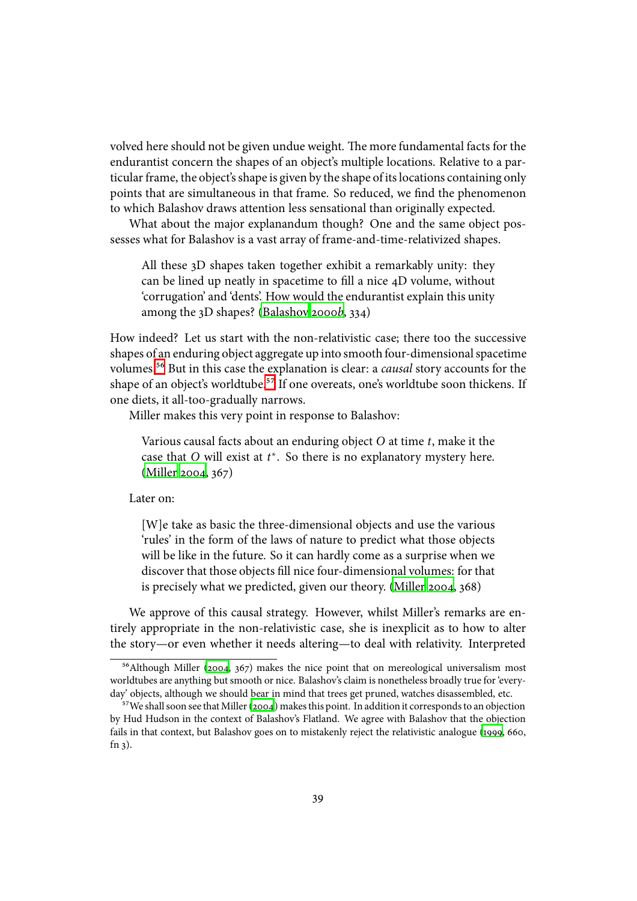volved here should not be given undue weight. The more fundamental facts for the endurantist concern the shapes of an object's multiple locations. Relative to a particular frame, the object's shape is given by the shape of itslocations containing only points that are simultaneous in that frame. So reduced, we find the phenomenon to which Balashov draws attention less sensational than originally expected.

What about the major explanandum though? One and the same object possesses what for Balashov is a vast array of frame-and-time-relativized shapes.

All these 3D shapes taken together exhibit a remarkably unity: they can be lined up neatly in spacetime to fill a nice 4D volume, without 'corrugation' and 'dents'. How would the endurantist explain this unity among the 3D shapes? [\(Balashov 2000](#page-42-14)b, 334)

How indeed? Let us start with the non-relativistic case; there too the successive shapes of an enduring object aggregate up into smooth four-dimensional spacetime volumes.<sup>[56](#page-38-0)</sup> But in this case the explanation is clear: a *causal* story accounts for the shape of an object's worldtube.<sup>[57](#page-38-1)</sup> If one overeats, one's worldtube soon thickens. If one diets, it all-too-gradually narrows.

Miller makes this very point in response to Balashov:

Various causal facts about an enduring object  $O$  at time  $t$ , make it the case that  $O$  will exist at  $t^*$ . So there is no explanatory mystery here. [\(Miller 2004](#page-43-11), 367)

Later on:

[W]e take as basic the three-dimensional objects and use the various 'rules' in the form of the laws of nature to predict what those objects will be like in the future. So it can hardly come as a surprise when we discover that those objects fill nice four-dimensional volumes: for that is precisely what we predicted, given our theory. [\(Miller 2004,](#page-43-11) 368)

We approve of this causal strategy. However, whilst Miller's remarks are entirely appropriate in the non-relativistic case, she is inexplicit as to how to alter the story—or even whether it needs altering—to deal with relativity. Interpreted

<span id="page-38-0"></span><sup>&</sup>lt;sup>56</sup>Although Miller [\(2004](#page-43-11), 367) makes the nice point that on mereological universalism most worldtubes are anything but smooth or nice. Balashov's claim is nonetheless broadly true for 'everyday' objects, although we should bear in mind that trees get pruned, watches disassembled, etc.

<span id="page-38-1"></span><sup>57</sup>We shall soon see that Miller [\(2004](#page-43-11)) makes this point. In addition it corresponds to an objection by Hud Hudson in the context of Balashov's Flatland. We agree with Balashov that the objection fails in that context, but Balashov goes on to mistakenly reject the relativistic analogue [\(1999](#page-42-13), 660, fn 3).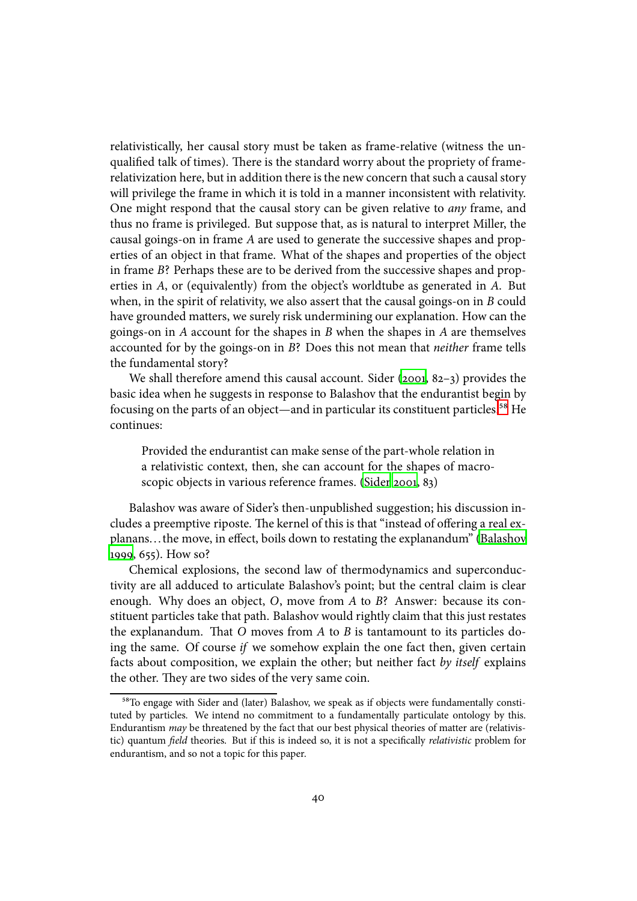relativistically, her causal story must be taken as frame-relative (witness the unqualified talk of times). There is the standard worry about the propriety of framerelativization here, but in addition there is the new concern that such a causal story will privilege the frame in which it is told in a manner inconsistent with relativity. One might respond that the causal story can be given relative to any frame, and thus no frame is privileged. But suppose that, as is natural to interpret Miller, the causal goings-on in frame A are used to generate the successive shapes and properties of an object in that frame. What of the shapes and properties of the object in frame B? Perhaps these are to be derived from the successive shapes and properties in A, or (equivalently) from the object's worldtube as generated in A. But when, in the spirit of relativity, we also assert that the causal goings-on in B could have grounded matters, we surely risk undermining our explanation. How can the goings-on in A account for the shapes in B when the shapes in A are themselves accounted for by the goings-on in B? Does this not mean that neither frame tells the fundamental story?

We shall therefore amend this causal account. Sider [\(2001,](#page-43-6) 82-3) provides the basic idea when he suggests in response to Balashov that the endurantist begin by focusing on the parts of an object—and in particular its constituent particles.[58](#page-39-0) He continues:

Provided the endurantist can make sense of the part-whole relation in a relativistic context, then, she can account for the shapes of macroscopic objects in various reference frames. [\(Sider 2001,](#page-43-6) 83)

Balashov was aware of Sider's then-unpublished suggestion; his discussion includes a preemptive riposte. The kernel of this is that "instead of offering a real ex-planans... the move, in effect, boils down to restating the explanandum" [\(Balashov](#page-42-13) [1999](#page-42-13), 655). How so?

Chemical explosions, the second law of thermodynamics and superconductivity are all adduced to articulate Balashov's point; but the central claim is clear enough. Why does an object, O, move from A to B? Answer: because its constituent particles take that path. Balashov would rightly claim that this just restates the explanandum. That O moves from A to B is tantamount to its particles doing the same. Of course if we somehow explain the one fact then, given certain facts about composition, we explain the other; but neither fact by itself explains the other. They are two sides of the very same coin.

<span id="page-39-0"></span><sup>&</sup>lt;sup>58</sup>To engage with Sider and (later) Balashov, we speak as if objects were fundamentally constituted by particles. We intend no commitment to a fundamentally particulate ontology by this. Endurantism may be threatened by the fact that our best physical theories of matter are (relativistic) quantum field theories. But if this is indeed so, it is not a specifically relativistic problem for endurantism, and so not a topic for this paper.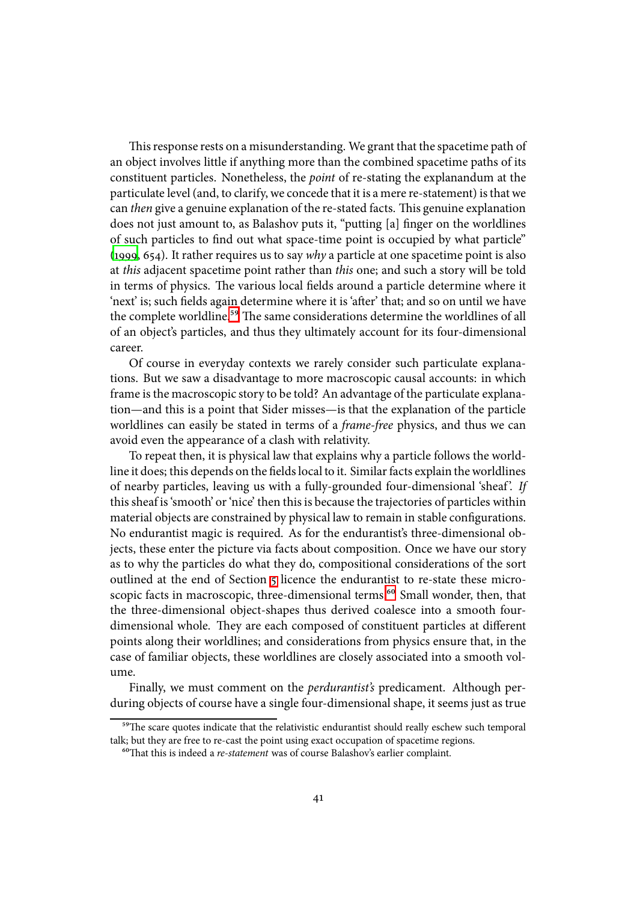This response rests on a misunderstanding. We grant that the spacetime path of an object involves little if anything more than the combined spacetime paths of its constituent particles. Nonetheless, the point of re-stating the explanandum at the particulate level (and, to clarify, we concede that it is a mere re-statement) is that we can then give a genuine explanation of the re-stated facts. This genuine explanation does not just amount to, as Balashov puts it, "putting [a] finger on the worldlines of such particles to find out what space-time point is occupied by what particle" [\(1999](#page-42-13), 654). It rather requires us to say why a particle at one spacetime point is also at this adjacent spacetime point rather than this one; and such a story will be told in terms of physics. The various local fields around a particle determine where it 'next' is; such fields again determine where it is 'after' that; and so on until we have the complete worldline.<sup>[59](#page-40-0)</sup> The same considerations determine the worldlines of all of an object's particles, and thus they ultimately account for its four-dimensional career.

Of course in everyday contexts we rarely consider such particulate explanations. But we saw a disadvantage to more macroscopic causal accounts: in which frame is the macroscopic story to be told? An advantage of the particulate explanation—and this is a point that Sider misses—is that the explanation of the particle worldlines can easily be stated in terms of a frame-free physics, and thus we can avoid even the appearance of a clash with relativity.

To repeat then, it is physical law that explains why a particle follows the worldline it does; this depends on the fields local to it. Similar facts explain the worldlines of nearby particles, leaving us with a fully-grounded four-dimensional 'sheaf'. If this sheaf is 'smooth' or 'nice' then this is because the trajectories of particles within material objects are constrained by physical law to remain in stable configurations. No endurantist magic is required. As for the endurantist's three-dimensional objects, these enter the picture via facts about composition. Once we have our story as to why the particles do what they do, compositional considerations of the sort outlined at the end of Section [5](#page-27-0) licence the endurantist to re-state these micro-scopic facts in macroscopic, three-dimensional terms.<sup>[60](#page-40-1)</sup> Small wonder, then, that the three-dimensional object-shapes thus derived coalesce into a smooth fourdimensional whole. They are each composed of constituent particles at different points along their worldlines; and considerations from physics ensure that, in the case of familiar objects, these worldlines are closely associated into a smooth volume.

Finally, we must comment on the *perdurantist's* predicament. Although perduring objects of course have a single four-dimensional shape, it seems just as true

<span id="page-40-1"></span><span id="page-40-0"></span> $59$ The scare quotes indicate that the relativistic endurantist should really eschew such temporal talk; but they are free to re-cast the point using exact occupation of spacetime regions.

 $60$ That this is indeed a *re-statement* was of course Balashov's earlier complaint.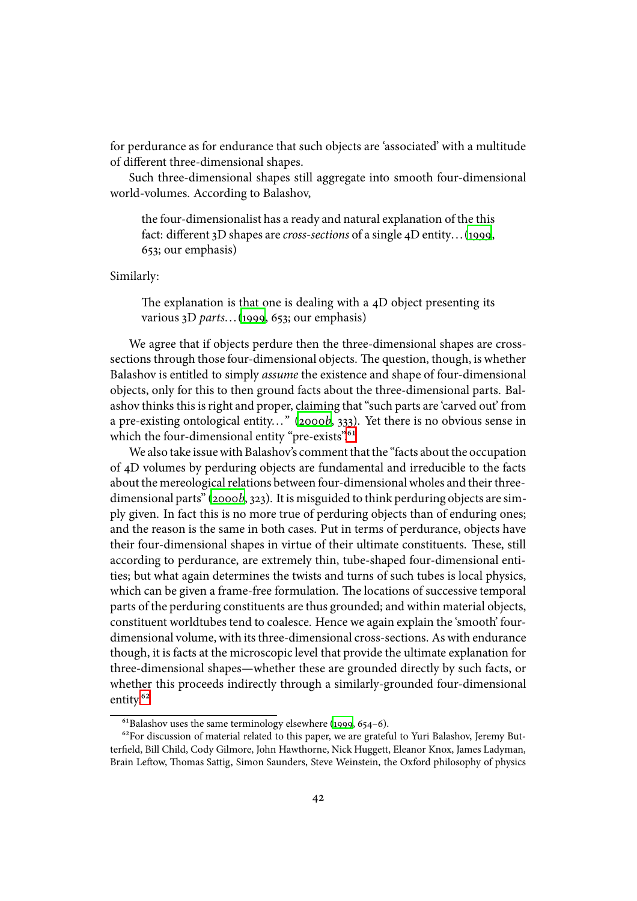for perdurance as for endurance that such objects are 'associated' with a multitude of different three-dimensional shapes.

Such three-dimensional shapes still aggregate into smooth four-dimensional world-volumes. According to Balashov,

the four-dimensionalist has a ready and natural explanation of the this fact: different 3D shapes are *cross-sections* of a single 4D entity... [\(1999](#page-42-13), 653; our emphasis)

Similarly:

The explanation is that one is dealing with a  $4D$  object presenting its various 3D parts... [\(1999,](#page-42-13) 653; our emphasis)

We agree that if objects perdure then the three-dimensional shapes are crosssections through those four-dimensional objects. The question, though, is whether Balashov is entitled to simply assume the existence and shape of four-dimensional objects, only for this to then ground facts about the three-dimensional parts. Balashov thinks this is right and proper, claiming that "such parts are 'carved out' from a pre-existing ontological entity..." [\(2000](#page-42-14)b, 333). Yet there is no obvious sense in which the four-dimensional entity "pre-exists".<sup>[61](#page-41-0)</sup>

We also take issue with Balashov's comment that the "facts about the occupation of 4D volumes by perduring objects are fundamental and irreducible to the facts about the mereological relations between four-dimensional wholes and their three-dimensional parts" [\(2000](#page-42-14)b, 323). It is misguided to think perduring objects are simply given. In fact this is no more true of perduring objects than of enduring ones; and the reason is the same in both cases. Put in terms of perdurance, objects have their four-dimensional shapes in virtue of their ultimate constituents. These, still according to perdurance, are extremely thin, tube-shaped four-dimensional entities; but what again determines the twists and turns of such tubes is local physics, which can be given a frame-free formulation. The locations of successive temporal parts of the perduring constituents are thus grounded; and within material objects, constituent worldtubes tend to coalesce. Hence we again explain the 'smooth' fourdimensional volume, with its three-dimensional cross-sections. As with endurance though, it is facts at the microscopic level that provide the ultimate explanation for three-dimensional shapes—whether these are grounded directly by such facts, or whether this proceeds indirectly through a similarly-grounded four-dimensional entity.<sup>[62](#page-41-1)</sup>

 $61B$ alashov uses the same terminology elsewhere [\(1999](#page-42-13), 654–6).

<span id="page-41-1"></span><span id="page-41-0"></span> $62}$  For discussion of material related to this paper, we are grateful to Yuri Balashov, Jeremy Butterfield, Bill Child, Cody Gilmore, John Hawthorne, Nick Huggett, Eleanor Knox, James Ladyman, Brain Leftow, Thomas Sattig, Simon Saunders, Steve Weinstein, the Oxford philosophy of physics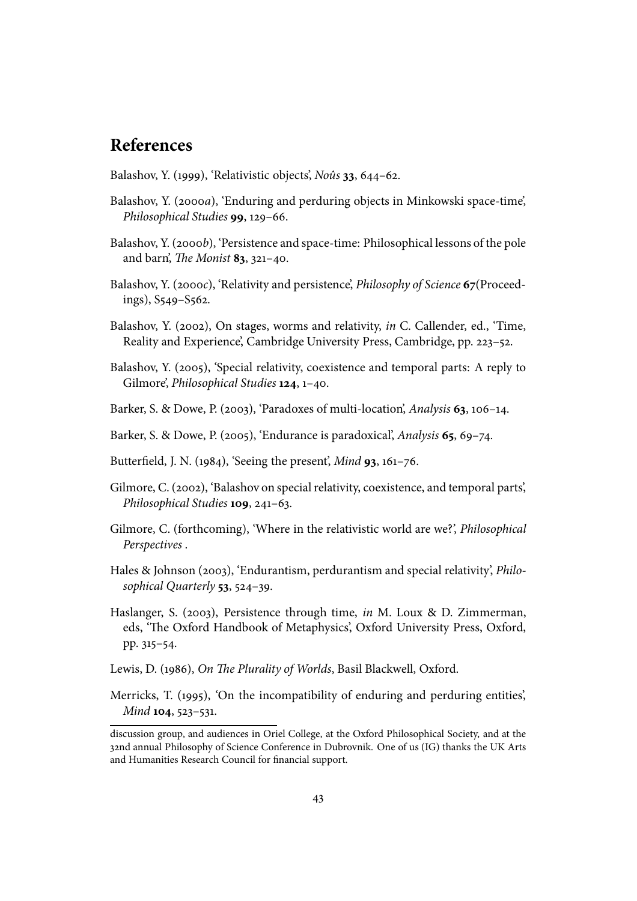## **References**

- <span id="page-42-13"></span>Balashov, Y. (1999), 'Relativistic objects', Noûs **33**, 644–62.
- <span id="page-42-7"></span>Balashov, Y. (2000a), 'Enduring and perduring objects in Minkowski space-time', Philosophical Studies **99**, 129–66.
- <span id="page-42-14"></span>Balashov, Y. (2000b), 'Persistence and space-time: Philosophical lessons of the pole and barn', *The Monist* 83, 321–40.
- <span id="page-42-8"></span>Balashov, Y. (2000c), 'Relativity and persistence', Philosophy of Science **67**(Proceedings), S549–S562.
- <span id="page-42-11"></span>Balashov, Y. (2002), On stages, worms and relativity, in C. Callender, ed., 'Time, Reality and Experience', Cambridge University Press, Cambridge, pp. 223–52.
- <span id="page-42-10"></span>Balashov, Y. (2005), 'Special relativity, coexistence and temporal parts: A reply to Gilmore', Philosophical Studies **124**, 1–40.
- <span id="page-42-4"></span>Barker, S. & Dowe, P. (2003), 'Paradoxes of multi-location', Analysis **63**, 106–14.
- <span id="page-42-5"></span>Barker, S. & Dowe, P. (2005), 'Endurance is paradoxical', Analysis **65**, 69–74.
- <span id="page-42-6"></span>Butterfield, J. N. (1984), 'Seeing the present', Mind 93, 161-76.
- <span id="page-42-9"></span>Gilmore, C. (2002), 'Balashov on special relativity, coexistence, and temporal parts', Philosophical Studies **109**, 241–63.
- <span id="page-42-0"></span>Gilmore, C. (forthcoming), 'Where in the relativistic world are we?', Philosophical Perspectives .
- <span id="page-42-12"></span>Hales & Johnson (2003), 'Endurantism, perdurantism and special relativity', Philosophical Quarterly **53**, 524–39.
- <span id="page-42-3"></span>Haslanger, S. (2003), Persistence through time, in M. Loux & D. Zimmerman, eds, 'The Oxford Handbook of Metaphysics', Oxford University Press, Oxford, pp. 315–54.
- <span id="page-42-2"></span>Lewis, D. (1986), On The Plurality of Worlds, Basil Blackwell, Oxford.
- <span id="page-42-1"></span>Merricks, T. (1995), 'On the incompatibility of enduring and perduring entities', Mind **104**, 523–531.

discussion group, and audiences in Oriel College, at the Oxford Philosophical Society, and at the 32nd annual Philosophy of Science Conference in Dubrovnik. One of us (IG) thanks the UK Arts and Humanities Research Council for financial support.